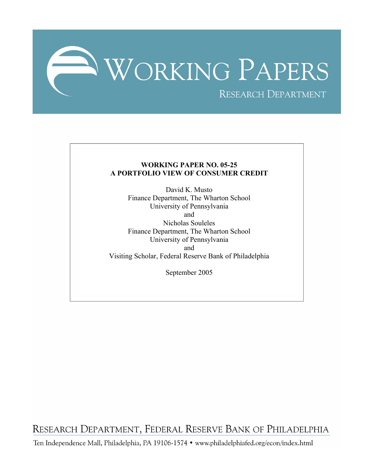

## **WORKING PAPER NO. 05-25 A PORTFOLIO VIEW OF CONSUMER CREDIT**

David K. Musto Finance Department, The Wharton School University of Pennsylvania and Nicholas Souleles Finance Department, The Wharton School University of Pennsylvania and Visiting Scholar, Federal Reserve Bank of Philadelphia

September 2005

RESEARCH DEPARTMENT, FEDERAL RESERVE BANK OF PHILADELPHIA

Ten Independence Mall, Philadelphia, PA 19106-1574 · www.philadelphiafed.org/econ/index.html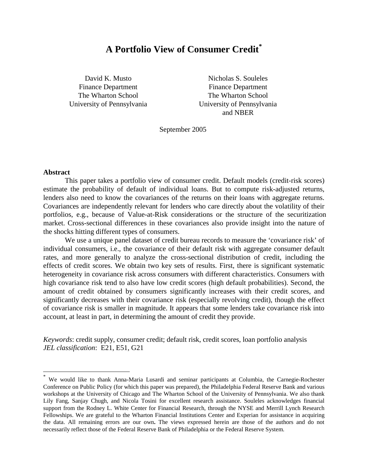# **A Portfolio View of Consumer Credit\***

University of Pennsylvania University of Pennsylvania

David K. Musto Nicholas S. Souleles Finance Department Finance Department The Wharton School The Wharton School and NBER

September 2005

#### **Abstract**

 $\overline{a}$ 

This paper takes a portfolio view of consumer credit. Default models (credit-risk scores) estimate the probability of default of individual loans. But to compute risk-adjusted returns, lenders also need to know the covariances of the returns on their loans with aggregate returns. Covariances are independently relevant for lenders who care directly about the volatility of their portfolios, e.g., because of Value-at-Risk considerations or the structure of the securitization market. Cross-sectional differences in these covariances also provide insight into the nature of the shocks hitting different types of consumers.

We use a unique panel dataset of credit bureau records to measure the 'covariance risk' of individual consumers, i.e., the covariance of their default risk with aggregate consumer default rates, and more generally to analyze the cross-sectional distribution of credit, including the effects of credit scores. We obtain two key sets of results. First, there is significant systematic heterogeneity in covariance risk across consumers with different characteristics. Consumers with high covariance risk tend to also have low credit scores (high default probabilities). Second, the amount of credit obtained by consumers significantly increases with their credit scores, and significantly decreases with their covariance risk (especially revolving credit), though the effect of covariance risk is smaller in magnitude. It appears that some lenders take covariance risk into account, at least in part, in determining the amount of credit they provide.

*Keywords*: credit supply, consumer credit; default risk, credit scores, loan portfolio analysis *JEL classification*: E21, E51, G21

<sup>\*</sup> We would like to thank Anna-Maria Lusardi and seminar participants at Columbia, the Carnegie-Rochester Conference on Public Policy (for which this paper was prepared), the Philadelphia Federal Reserve Bank and various workshops at the University of Chicago and The Wharton School of the University of Pennsylvania. We also thank Lily Fang, Sanjay Chugh, and Nicola Tosini for excellent research assistance. Souleles acknowledges financial support from the Rodney L. White Center for Financial Research, through the NYSE and Merrill Lynch Research Fellowships. We are grateful to the Wharton Financial Institutions Center and Experian for assistance in acquiring the data. All remaining errors are our own**.** The views expressed herein are those of the authors and do not necessarily reflect those of the Federal Reserve Bank of Philadelphia or the Federal Reserve System.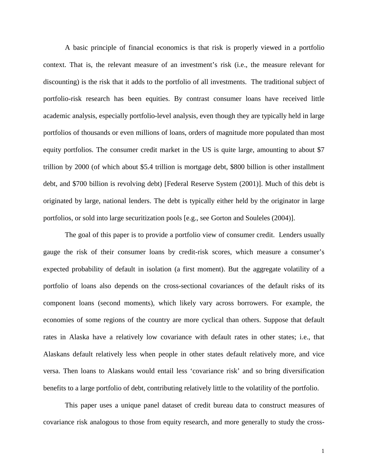A basic principle of financial economics is that risk is properly viewed in a portfolio context. That is, the relevant measure of an investment's risk (i.e., the measure relevant for discounting) is the risk that it adds to the portfolio of all investments. The traditional subject of portfolio-risk research has been equities. By contrast consumer loans have received little academic analysis, especially portfolio-level analysis, even though they are typically held in large portfolios of thousands or even millions of loans, orders of magnitude more populated than most equity portfolios. The consumer credit market in the US is quite large, amounting to about \$7 trillion by 2000 (of which about \$5.4 trillion is mortgage debt, \$800 billion is other installment debt, and \$700 billion is revolving debt) [Federal Reserve System (2001)]. Much of this debt is originated by large, national lenders. The debt is typically either held by the originator in large portfolios, or sold into large securitization pools [e.g., see Gorton and Souleles (2004)].

The goal of this paper is to provide a portfolio view of consumer credit. Lenders usually gauge the risk of their consumer loans by credit-risk scores, which measure a consumer's expected probability of default in isolation (a first moment). But the aggregate volatility of a portfolio of loans also depends on the cross-sectional covariances of the default risks of its component loans (second moments), which likely vary across borrowers. For example, the economies of some regions of the country are more cyclical than others. Suppose that default rates in Alaska have a relatively low covariance with default rates in other states; i.e., that Alaskans default relatively less when people in other states default relatively more, and vice versa. Then loans to Alaskans would entail less 'covariance risk' and so bring diversification benefits to a large portfolio of debt, contributing relatively little to the volatility of the portfolio.

 This paper uses a unique panel dataset of credit bureau data to construct measures of covariance risk analogous to those from equity research, and more generally to study the cross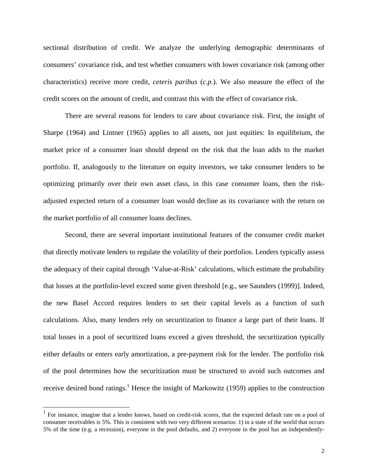sectional distribution of credit. We analyze the underlying demographic determinants of consumers' covariance risk, and test whether consumers with lower covariance risk (among other characteristics) receive more credit, *ceteris paribus* (*c.p.*). We also measure the effect of the credit scores on the amount of credit, and contrast this with the effect of covariance risk.

 There are several reasons for lenders to care about covariance risk. First, the insight of Sharpe (1964) and Lintner (1965) applies to all assets, not just equities: In equilibrium, the market price of a consumer loan should depend on the risk that the loan adds to the market portfolio. If, analogously to the literature on equity investors, we take consumer lenders to be optimizing primarily over their own asset class, in this case consumer loans, then the riskadjusted expected return of a consumer loan would decline as its covariance with the return on the market portfolio of all consumer loans declines.

 Second, there are several important institutional features of the consumer credit market that directly motivate lenders to regulate the volatility of their portfolios. Lenders typically assess the adequacy of their capital through 'Value-at-Risk' calculations, which estimate the probability that losses at the portfolio-level exceed some given threshold [e.g., see Saunders (1999)]. Indeed, the new Basel Accord requires lenders to set their capital levels as a function of such calculations. Also, many lenders rely on securitization to finance a large part of their loans. If total losses in a pool of securitized loans exceed a given threshold, the securitization typically either defaults or enters early amortization, a pre-payment risk for the lender. The portfolio risk of the pool determines how the securitization must be structured to avoid such outcomes and receive desired bond ratings.<sup>1</sup> Hence the insight of Markowitz (1959) applies to the construction

<sup>&</sup>lt;sup>1</sup> For instance, imagine that a lender knows, based on credit-risk scores, that the expected default rate on a pool of consumer receivables is 5%. This is consistent with two very different scenarios: 1) in a state of the world that occurs 5% of the time (e.g. a recession), everyone in the pool defaults, and 2) everyone in the pool has an independently-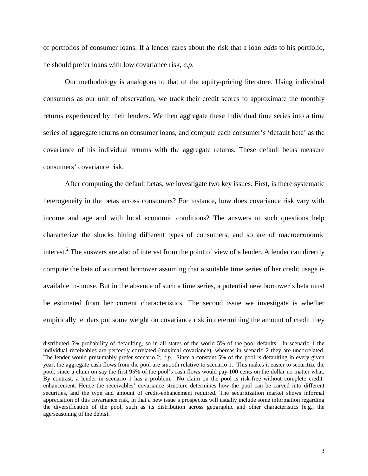of portfolios of consumer loans: If a lender cares about the risk that a loan *adds* to his portfolio, he should prefer loans with low covariance risk, *c.p*.

 Our methodology is analogous to that of the equity-pricing literature. Using individual consumers as our unit of observation, we track their credit scores to approximate the monthly returns experienced by their lenders. We then aggregate these individual time series into a time series of aggregate returns on consumer loans, and compute each consumer's 'default beta' as the covariance of his individual returns with the aggregate returns. These default betas measure consumers' covariance risk.

 After computing the default betas, we investigate two key issues. First, is there systematic heterogeneity in the betas across consumers? For instance, how does covariance risk vary with income and age and with local economic conditions? The answers to such questions help characterize the shocks hitting different types of consumers, and so are of macroeconomic interest.<sup>2</sup> The answers are also of interest from the point of view of a lender. A lender can directly compute the beta of a current borrower assuming that a suitable time series of her credit usage is available in-house. But in the absence of such a time series, a potential new borrower's beta must be estimated from her current characteristics. The second issue we investigate is whether empirically lenders put some weight on covariance risk in determining the amount of credit they

distributed 5% probability of defaulting, so in all states of the world 5% of the pool defaults. In scenario 1 the individual receivables are perfectly correlated (maximal covariance), whereas in scenario 2 they are uncorrelated. The lender would presumably prefer scenario 2, *c.p.* Since a constant 5% of the pool is defaulting in every given year, the aggregate cash flows from the pool are smooth relative to scenario 1. This makes it easier to securitize the pool, since a claim on say the first 95% of the pool's cash flows would pay 100 cents on the dollar no matter what. By contrast, a lender in scenario 1 has a problem. No claim on the pool is risk-free without complete creditenhancement. Hence the receivables' covariance structure determines how the pool can be carved into different securities, and the type and amount of credit-enhancement required. The securitization market shows informal appreciation of this covariance risk, in that a new issue's prospectus will usually include some information regarding the diversification of the pool, such as its distribution across geographic and other characteristics (e.g., the age/seasoning of the debts).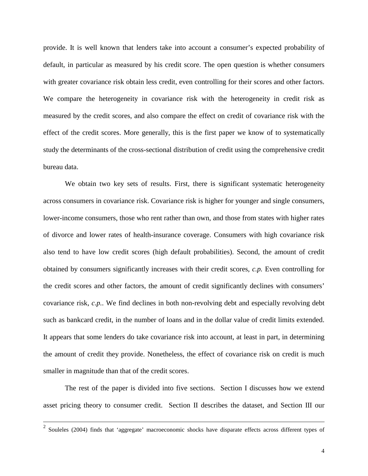provide. It is well known that lenders take into account a consumer's expected probability of default, in particular as measured by his credit score. The open question is whether consumers with greater covariance risk obtain less credit, even controlling for their scores and other factors. We compare the heterogeneity in covariance risk with the heterogeneity in credit risk as measured by the credit scores, and also compare the effect on credit of covariance risk with the effect of the credit scores. More generally, this is the first paper we know of to systematically study the determinants of the cross-sectional distribution of credit using the comprehensive credit bureau data.

We obtain two key sets of results. First, there is significant systematic heterogeneity across consumers in covariance risk. Covariance risk is higher for younger and single consumers, lower-income consumers, those who rent rather than own, and those from states with higher rates of divorce and lower rates of health-insurance coverage. Consumers with high covariance risk also tend to have low credit scores (high default probabilities). Second, the amount of credit obtained by consumers significantly increases with their credit scores, *c.p.* Even controlling for the credit scores and other factors, the amount of credit significantly declines with consumers' covariance risk, *c.p.*. We find declines in both non-revolving debt and especially revolving debt such as bankcard credit, in the number of loans and in the dollar value of credit limits extended. It appears that some lenders do take covariance risk into account, at least in part, in determining the amount of credit they provide. Nonetheless, the effect of covariance risk on credit is much smaller in magnitude than that of the credit scores.

The rest of the paper is divided into five sections. Section I discusses how we extend asset pricing theory to consumer credit. Section II describes the dataset, and Section III our

 <sup>2</sup> Souleles (2004) finds that 'aggregate' macroeconomic shocks have disparate effects across different types of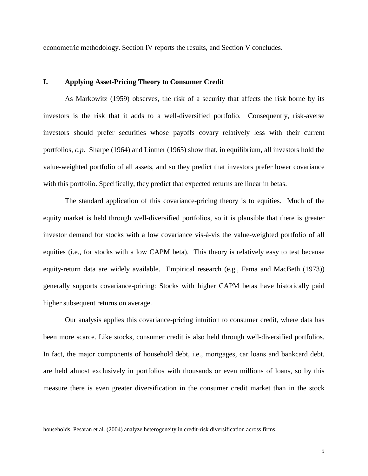econometric methodology. Section IV reports the results, and Section V concludes.

#### **I. Applying Asset-Pricing Theory to Consumer Credit**

 As Markowitz (1959) observes, the risk of a security that affects the risk borne by its investors is the risk that it adds to a well-diversified portfolio. Consequently, risk-averse investors should prefer securities whose payoffs covary relatively less with their current portfolios, *c.p.* Sharpe (1964) and Lintner (1965) show that, in equilibrium, all investors hold the value-weighted portfolio of all assets, and so they predict that investors prefer lower covariance with this portfolio. Specifically, they predict that expected returns are linear in betas.

 The standard application of this covariance-pricing theory is to equities. Much of the equity market is held through well-diversified portfolios, so it is plausible that there is greater investor demand for stocks with a low covariance vis-à-vis the value-weighted portfolio of all equities (i.e., for stocks with a low CAPM beta). This theory is relatively easy to test because equity-return data are widely available. Empirical research (e.g., Fama and MacBeth (1973)) generally supports covariance-pricing: Stocks with higher CAPM betas have historically paid higher subsequent returns on average.

 Our analysis applies this covariance-pricing intuition to consumer credit, where data has been more scarce. Like stocks, consumer credit is also held through well-diversified portfolios. In fact, the major components of household debt, i.e., mortgages, car loans and bankcard debt, are held almost exclusively in portfolios with thousands or even millions of loans, so by this measure there is even greater diversification in the consumer credit market than in the stock

households. Pesaran et al. (2004) analyze heterogeneity in credit-risk diversification across firms.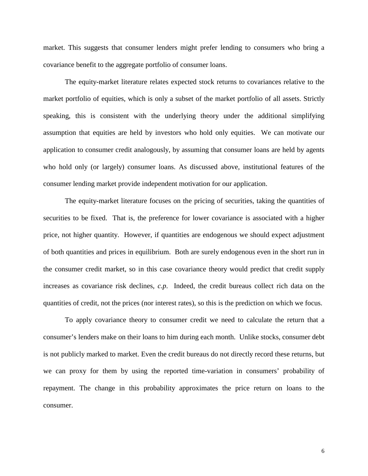market. This suggests that consumer lenders might prefer lending to consumers who bring a covariance benefit to the aggregate portfolio of consumer loans.

 The equity-market literature relates expected stock returns to covariances relative to the market portfolio of equities, which is only a subset of the market portfolio of all assets. Strictly speaking, this is consistent with the underlying theory under the additional simplifying assumption that equities are held by investors who hold only equities. We can motivate our application to consumer credit analogously, by assuming that consumer loans are held by agents who hold only (or largely) consumer loans. As discussed above, institutional features of the consumer lending market provide independent motivation for our application.

 The equity-market literature focuses on the pricing of securities, taking the quantities of securities to be fixed. That is, the preference for lower covariance is associated with a higher price, not higher quantity. However, if quantities are endogenous we should expect adjustment of both quantities and prices in equilibrium. Both are surely endogenous even in the short run in the consumer credit market, so in this case covariance theory would predict that credit supply increases as covariance risk declines, *c.p*. Indeed, the credit bureaus collect rich data on the quantities of credit, not the prices (nor interest rates), so this is the prediction on which we focus.

 To apply covariance theory to consumer credit we need to calculate the return that a consumer's lenders make on their loans to him during each month. Unlike stocks, consumer debt is not publicly marked to market. Even the credit bureaus do not directly record these returns, but we can proxy for them by using the reported time-variation in consumers' probability of repayment. The change in this probability approximates the price return on loans to the consumer.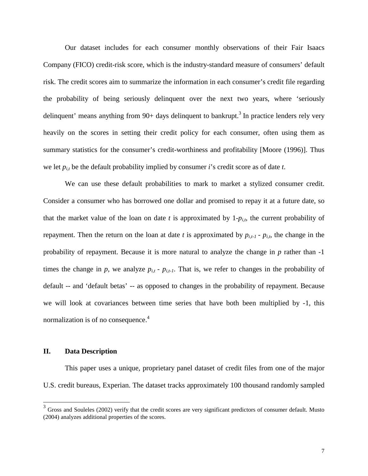Our dataset includes for each consumer monthly observations of their Fair Isaacs Company (FICO) credit-risk score, which is the industry-standard measure of consumers' default risk. The credit scores aim to summarize the information in each consumer's credit file regarding the probability of being seriously delinquent over the next two years, where 'seriously delinquent' means anything from  $90+$  days delinquent to bankrupt.<sup>3</sup> In practice lenders rely very heavily on the scores in setting their credit policy for each consumer, often using them as summary statistics for the consumer's credit-worthiness and profitability [Moore (1996)]. Thus we let *pi,t* be the default probability implied by consumer *i*'s credit score as of date *t*.

 We can use these default probabilities to mark to market a stylized consumer credit. Consider a consumer who has borrowed one dollar and promised to repay it at a future date, so that the market value of the loan on date  $t$  is approximated by  $1-p_{i,t}$ , the current probability of repayment. Then the return on the loan at date *t* is approximated by  $p_{i,t-1}$  -  $p_{i,t}$ , the change in the probability of repayment. Because it is more natural to analyze the change in *p* rather than -1 times the change in  $p$ , we analyze  $p_{i,t}$  -  $p_{i,t-1}$ . That is, we refer to changes in the probability of default -- and 'default betas' -- as opposed to changes in the probability of repayment. Because we will look at covariances between time series that have both been multiplied by -1, this normalization is of no consequence.<sup>4</sup>

## **II. Data Description**

 $\overline{a}$ 

This paper uses a unique, proprietary panel dataset of credit files from one of the major U.S. credit bureaus, Experian. The dataset tracks approximately 100 thousand randomly sampled

 $3$  Gross and Souleles (2002) verify that the credit scores are very significant predictors of consumer default. Musto (2004) analyzes additional properties of the scores.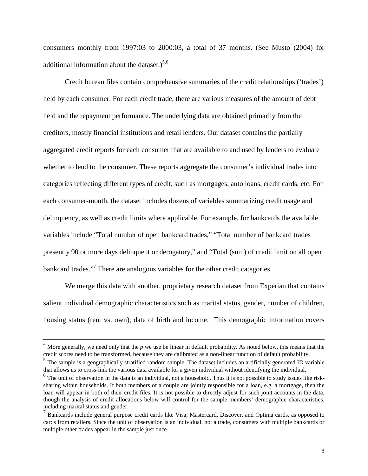consumers monthly from 1997:03 to 2000:03, a total of 37 months. (See Musto (2004) for additional information about the dataset.) $5,6$ 

Credit bureau files contain comprehensive summaries of the credit relationships ('trades') held by each consumer. For each credit trade, there are various measures of the amount of debt held and the repayment performance. The underlying data are obtained primarily from the creditors, mostly financial institutions and retail lenders. Our dataset contains the partially aggregated credit reports for each consumer that are available to and used by lenders to evaluate whether to lend to the consumer. These reports aggregate the consumer's individual trades into categories reflecting different types of credit, such as mortgages, auto loans, credit cards, etc. For each consumer-month, the dataset includes dozens of variables summarizing credit usage and delinquency, as well as credit limits where applicable. For example, for bankcards the available variables include "Total number of open bankcard trades," "Total number of bankcard trades presently 90 or more days delinquent or derogatory," and "Total (sum) of credit limit on all open bankcard trades."<sup>7</sup> There are analogous variables for the other credit categories.

We merge this data with another, proprietary research dataset from Experian that contains salient individual demographic characteristics such as marital status, gender, number of children, housing status (rent vs. own), date of birth and income. This demographic information covers

 <sup>4</sup> More generally, we need only that the *p* we use be linear in default probability. As noted below, this means that the credit scores need to be transformed, because they are calibrated as a non-linear function of default probability.

<sup>&</sup>lt;sup>5</sup> The sample is a geographically stratified random sample. The dataset includes an artificially generated ID variable that allows us to cross-link the various data available for a given individual without identifying the individual.

 $<sup>6</sup>$  The unit of observation in the data is an individual, not a household. Thus it is not possible to study issues like risk-</sup> sharing within households. If both members of a couple are jointly responsible for a loan, e.g. a mortgage, then the loan will appear in both of their credit files. It is not possible to directly adjust for such joint accounts in the data, though the analysis of credit allocations below will control for the sample members' demographic characteristics, including marital status and gender.

<sup>&</sup>lt;sup>7</sup> Bankcards include general purpose credit cards like Visa, Mastercard, Discover, and Optima cards, as opposed to cards from retailers. Since the unit of observation is an individual, not a trade, consumers with multiple bankcards or multiple other trades appear in the sample just once.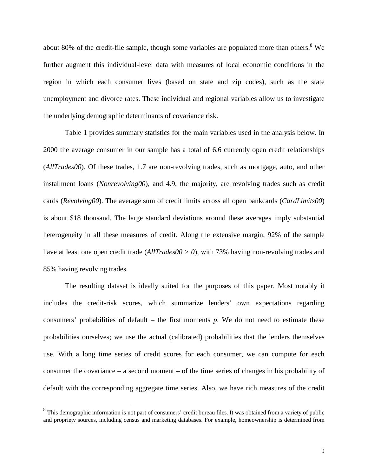about 80% of the credit-file sample, though some variables are populated more than others. <sup>8</sup> We further augment this individual-level data with measures of local economic conditions in the region in which each consumer lives (based on state and zip codes), such as the state unemployment and divorce rates. These individual and regional variables allow us to investigate the underlying demographic determinants of covariance risk.

Table 1 provides summary statistics for the main variables used in the analysis below. In 2000 the average consumer in our sample has a total of 6.6 currently open credit relationships (*AllTrades00*). Of these trades, 1.7 are non-revolving trades, such as mortgage, auto, and other installment loans (*Nonrevolving00*), and 4.9, the majority, are revolving trades such as credit cards (*Revolving00*). The average sum of credit limits across all open bankcards (*CardLimits00*) is about \$18 thousand. The large standard deviations around these averages imply substantial heterogeneity in all these measures of credit. Along the extensive margin, 92% of the sample have at least one open credit trade (*AllTrades00 > 0*), with 73% having non-revolving trades and 85% having revolving trades.

 The resulting dataset is ideally suited for the purposes of this paper. Most notably it includes the credit-risk scores, which summarize lenders' own expectations regarding consumers' probabilities of default – the first moments  $p$ . We do not need to estimate these probabilities ourselves; we use the actual (calibrated) probabilities that the lenders themselves use. With a long time series of credit scores for each consumer, we can compute for each consumer the covariance – a second moment – of the time series of changes in his probability of default with the corresponding aggregate time series. Also, we have rich measures of the credit

<sup>&</sup>lt;sup>8</sup> This demographic information is not part of consumers' credit bureau files. It was obtained from a variety of public and propriety sources, including census and marketing databases. For example, homeownership is determined from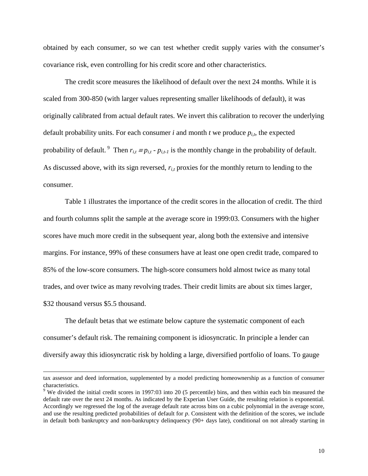obtained by each consumer, so we can test whether credit supply varies with the consumer's covariance risk, even controlling for his credit score and other characteristics.

The credit score measures the likelihood of default over the next 24 months. While it is scaled from 300-850 (with larger values representing smaller likelihoods of default), it was originally calibrated from actual default rates. We invert this calibration to recover the underlying default probability units. For each consumer  $i$  and month  $t$  we produce  $p_{i,t}$ , the expected probability of default. <sup>9</sup> Then  $r_{i,t} \equiv p_{i,t} \cdot p_{i,t-1}$  is the monthly change in the probability of default. As discussed above, with its sign reversed, *ri,t* proxies for the monthly return to lending to the consumer.

Table 1 illustrates the importance of the credit scores in the allocation of credit. The third and fourth columns split the sample at the average score in 1999:03. Consumers with the higher scores have much more credit in the subsequent year, along both the extensive and intensive margins. For instance, 99% of these consumers have at least one open credit trade, compared to 85% of the low-score consumers. The high-score consumers hold almost twice as many total trades, and over twice as many revolving trades. Their credit limits are about six times larger, \$32 thousand versus \$5.5 thousand.

The default betas that we estimate below capture the systematic component of each consumer's default risk. The remaining component is idiosyncratic. In principle a lender can diversify away this idiosyncratic risk by holding a large, diversified portfolio of loans. To gauge

tax assessor and deed information, supplemented by a model predicting homeownership as a function of consumer characteristics.

<sup>&</sup>lt;sup>9</sup> We divided the initial credit scores in 1997:03 into 20 (5 percentile) bins, and then within each bin measured the default rate over the next 24 months. As indicated by the Experian User Guide, the resulting relation is exponential. Accordingly we regressed the log of the average default rate across bins on a cubic polynomial in the average score, and use the resulting predicted probabilities of default for *p*. Consistent with the definition of the scores, we include in default both bankruptcy and non-bankruptcy delinquency (90+ days late), conditional on not already starting in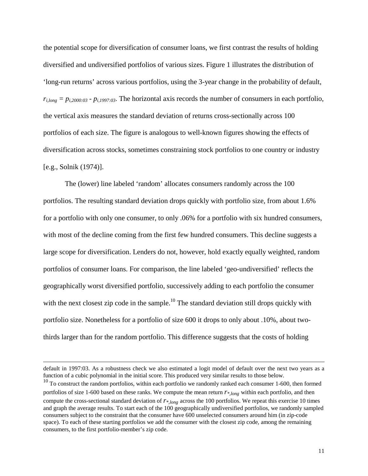the potential scope for diversification of consumer loans, we first contrast the results of holding diversified and undiversified portfolios of various sizes. Figure 1 illustrates the distribution of 'long-run returns' across various portfolios, using the 3-year change in the probability of default,  $r_{i,long} = p_{i,2000:03} - p_{i,1997:03}$ . The horizontal axis records the number of consumers in each portfolio, the vertical axis measures the standard deviation of returns cross-sectionally across 100 portfolios of each size. The figure is analogous to well-known figures showing the effects of diversification across stocks, sometimes constraining stock portfolios to one country or industry [e.g., Solnik (1974)].

The (lower) line labeled 'random' allocates consumers randomly across the 100 portfolios. The resulting standard deviation drops quickly with portfolio size, from about 1.6% for a portfolio with only one consumer, to only .06% for a portfolio with six hundred consumers, with most of the decline coming from the first few hundred consumers. This decline suggests a large scope for diversification. Lenders do not, however, hold exactly equally weighted, random portfolios of consumer loans. For comparison, the line labeled 'geo-undiversified' reflects the geographically worst diversified portfolio, successively adding to each portfolio the consumer with the next closest zip code in the sample.<sup>10</sup> The standard deviation still drops quickly with portfolio size. Nonetheless for a portfolio of size 600 it drops to only about .10%, about twothirds larger than for the random portfolio. This difference suggests that the costs of holding

default in 1997:03. As a robustness check we also estimated a logit model of default over the next two years as a function of a cubic polynomial in the initial score. This produced very similar results to those below.

<sup>&</sup>lt;sup>10</sup> To construct the random portfolios, within each portfolio we randomly ranked each consumer 1-600, then formed portfolios of size 1-600 based on these ranks. We compute the mean return  $r_{*,long}$  within each portfolio, and then compute the cross-sectional standard deviation of *r\*,long* across the 100 portfolios. We repeat this exercise 10 times and graph the average results. To start each of the 100 geographically undiversified portfolios, we randomly sampled consumers subject to the constraint that the consumer have 600 unselected consumers around him (in zip-code space). To each of these starting portfolios we add the consumer with the closest zip code, among the remaining consumers, to the first portfolio-member's zip code.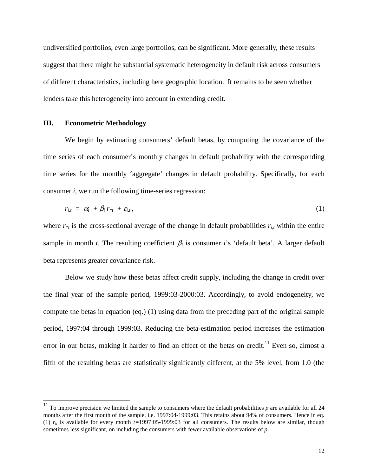undiversified portfolios, even large portfolios, can be significant. More generally, these results suggest that there might be substantial systematic heterogeneity in default risk across consumers of different characteristics, including here geographic location. It remains to be seen whether lenders take this heterogeneity into account in extending credit.

### **III. Econometric Methodology**

 $\overline{a}$ 

We begin by estimating consumers' default betas, by computing the covariance of the time series of each consumer's monthly changes in default probability with the corresponding time series for the monthly 'aggregate' changes in default probability. Specifically, for each consumer *i*, we run the following time-series regression:

$$
r_{i,t} = \alpha_i + \beta_i r_{*t} + \varepsilon_{i,t}, \qquad (1)
$$

where  $r_{*t}$  is the cross-sectional average of the change in default probabilities  $r_{i,t}$  within the entire sample in month *t*. The resulting coefficient  $\beta_i$  is consumer *i*'s 'default beta'. A larger default beta represents greater covariance risk.

 Below we study how these betas affect credit supply, including the change in credit over the final year of the sample period, 1999:03-2000:03. Accordingly, to avoid endogeneity, we compute the betas in equation (eq.) (1) using data from the preceding part of the original sample period, 1997:04 through 1999:03. Reducing the beta-estimation period increases the estimation error in our betas, making it harder to find an effect of the betas on credit.<sup>11</sup> Even so, almost a fifth of the resulting betas are statistically significantly different, at the 5% level, from 1.0 (the

<sup>&</sup>lt;sup>11</sup> To improve precision we limited the sample to consumers where the default probabilities p are available for all 24 months after the first month of the sample, i.e. 1997:04-1999:03. This retains about 94% of consumers. Hence in eq. (1)  $r_{it}$  is available for every month  $t=1997:05-1999:03$  for all consumers. The results below are similar, though sometimes less significant, on including the consumers with fewer available observations of *p*.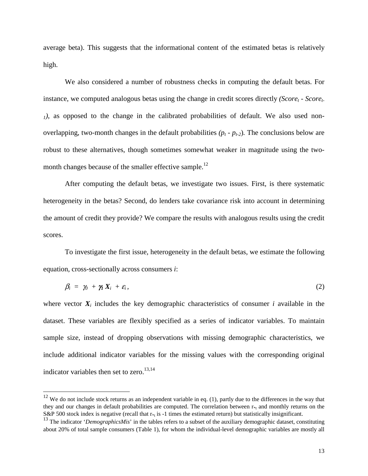average beta). This suggests that the informational content of the estimated betas is relatively high.

 We also considered a number of robustness checks in computing the default betas. For instance, we computed analogous betas using the change in credit scores directly *(Score<sub>t</sub>* - *Score<sub>t</sub>*) *1)*, as opposed to the change in the calibrated probabilities of default. We also used nonoverlapping, two-month changes in the default probabilities  $(p_t - p_{t-2})$ . The conclusions below are robust to these alternatives, though sometimes somewhat weaker in magnitude using the twomonth changes because of the smaller effective sample.<sup>12</sup>

 After computing the default betas, we investigate two issues. First, is there systematic heterogeneity in the betas? Second, do lenders take covariance risk into account in determining the amount of credit they provide? We compare the results with analogous results using the credit scores.

 To investigate the first issue, heterogeneity in the default betas, we estimate the following equation, cross-sectionally across consumers *i*:

$$
\beta_i = \gamma_0 + \gamma_1 X_i + \varepsilon_i, \tag{2}
$$

where vector  $X_i$  includes the key demographic characteristics of consumer *i* available in the dataset. These variables are flexibly specified as a series of indicator variables. To maintain sample size, instead of dropping observations with missing demographic characteristics, we include additional indicator variables for the missing values with the corresponding original indicator variables then set to zero. $13,14$ 

 $12$  We do not include stock returns as an independent variable in eq. (1), partly due to the differences in the way that they and our changes in default probabilities are computed. The correlation between  $r_{*t}$  and monthly returns on the S&P 500 stock index is negative (recall that  $r_{\ast}$  is -1 times the estimated return) but statistically insignificant.

<sup>&</sup>lt;sup>13</sup> The indicator '*DemographicsMis*' in the tables refers to a subset of the auxiliary demographic dataset, constituting about 20% of total sample consumers (Table 1), for whom the individual-level demographic variables are mostly all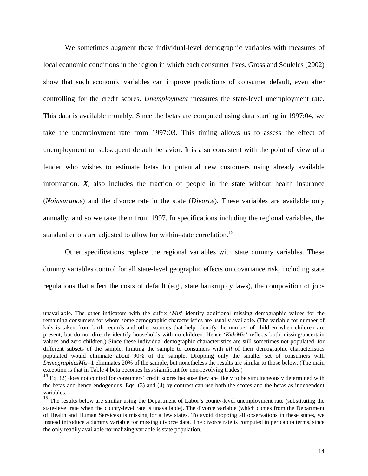We sometimes augment these individual-level demographic variables with measures of local economic conditions in the region in which each consumer lives. Gross and Souleles (2002) show that such economic variables can improve predictions of consumer default, even after controlling for the credit scores. *Unemployment* measures the state-level unemployment rate. This data is available monthly. Since the betas are computed using data starting in 1997:04, we take the unemployment rate from 1997:03. This timing allows us to assess the effect of unemployment on subsequent default behavior. It is also consistent with the point of view of a lender who wishes to estimate betas for potential new customers using already available information.  $X_i$  also includes the fraction of people in the state without health insurance (*Noinsurance*) and the divorce rate in the state (*Divorce*). These variables are available only annually, and so we take them from 1997. In specifications including the regional variables, the standard errors are adjusted to allow for within-state correlation.<sup>15</sup>

 Other specifications replace the regional variables with state dummy variables. These dummy variables control for all state-level geographic effects on covariance risk, including state regulations that affect the costs of default (e.g., state bankruptcy laws), the composition of jobs

unavailable. The other indicators with the suffix '*Mis*' identify additional missing demographic values for the remaining consumers for whom some demographic characteristics are usually available. (The variable for number of kids is taken from birth records and other sources that help identify the number of children when children are present, but do not directly identify households with no children. Hence '*KidsMis*' reflects both missing/uncertain values and zero children.) Since these individual demographic characteristics are still sometimes not populated, for different subsets of the sample, limiting the sample to consumers with *all* of their demographic characteristics populated would eliminate about 90% of the sample. Dropping only the smaller set of consumers with *DemographicsMis*=1 eliminates 20% of the sample, but nonetheless the results are similar to those below. (The main exception is that in Table 4 beta becomes less significant for non-revolving trades.)

 $14$  Eq. (2) does not control for consumers' credit scores because they are likely to be simultaneously determined with the betas and hence endogenous. Eqs. (3) and (4) by contrast can use both the scores and the betas as independent variables.

<sup>&</sup>lt;sup>15</sup> The results below are similar using the Department of Labor's county-level unemployment rate (substituting the state-level rate when the county-level rate is unavailable). The divorce variable (which comes from the Department of Health and Human Services) is missing for a few states. To avoid dropping all observations in these states, we instead introduce a dummy variable for missing divorce data. The divorce rate is computed in per capita terms, since the only readily available normalizing variable is state population.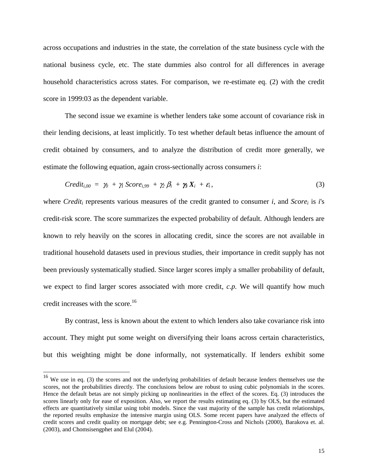across occupations and industries in the state, the correlation of the state business cycle with the national business cycle, etc. The state dummies also control for all differences in average household characteristics across states. For comparison, we re-estimate eq. (2) with the credit score in 1999:03 as the dependent variable.

 The second issue we examine is whether lenders take some account of covariance risk in their lending decisions, at least implicitly. To test whether default betas influence the amount of credit obtained by consumers, and to analyze the distribution of credit more generally, we estimate the following equation, again cross-sectionally across consumers *i*:

$$
Credit_{i,00} = \gamma_0 + \gamma_1 Score_{i,99} + \gamma_2 \beta_i + \gamma_3 X_i + \varepsilon_i,
$$
\n(3)

where *Credit<sub>i</sub>* represents various measures of the credit granted to consumer *i*, and *Score*<sub>*i*</sub> is *i*'s credit-risk score. The score summarizes the expected probability of default. Although lenders are known to rely heavily on the scores in allocating credit, since the scores are not available in traditional household datasets used in previous studies, their importance in credit supply has not been previously systematically studied. Since larger scores imply a smaller probability of default, we expect to find larger scores associated with more credit, *c.p.* We will quantify how much credit increases with the score.<sup>16</sup>

By contrast, less is known about the extent to which lenders also take covariance risk into account. They might put some weight on diversifying their loans across certain characteristics, but this weighting might be done informally, not systematically. If lenders exhibit some

 $16$  We use in eq. (3) the scores and not the underlying probabilities of default because lenders themselves use the scores, not the probabilities directly. The conclusions below are robust to using cubic polynomials in the scores. Hence the default betas are not simply picking up nonlinearities in the effect of the scores. Eq. (3) introduces the scores linearly only for ease of exposition. Also, we report the results estimating eq. (3) by OLS, but the estimated effects are quantitatively similar using tobit models. Since the vast majority of the sample has credit relationships, the reported results emphasize the intensive margin using OLS. Some recent papers have analyzed the effects of credit scores and credit quality on mortgage debt; see e.g. Pennington-Cross and Nichols (2000), Barakova et. al. (2003), and Chomsisengphet and Elul (2004).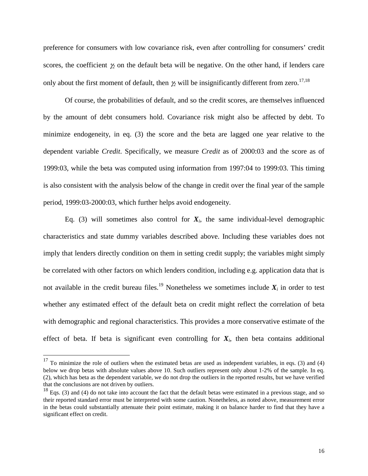preference for consumers with low covariance risk, even after controlling for consumers' credit scores, the coefficient γ*<sup>2</sup>* on the default beta will be negative. On the other hand, if lenders care only about the first moment of default, then  $\gamma$  will be insignificantly different from zero.<sup>17,18</sup>

 Of course, the probabilities of default, and so the credit scores, are themselves influenced by the amount of debt consumers hold. Covariance risk might also be affected by debt. To minimize endogeneity, in eq. (3) the score and the beta are lagged one year relative to the dependent variable *Credit*. Specifically, we measure *Credit* as of 2000:03 and the score as of 1999:03, while the beta was computed using information from 1997:04 to 1999:03. This timing is also consistent with the analysis below of the change in credit over the final year of the sample period, 1999:03-2000:03, which further helps avoid endogeneity.

Eq. (3) will sometimes also control for  $X_i$ , the same individual-level demographic characteristics and state dummy variables described above. Including these variables does not imply that lenders directly condition on them in setting credit supply; the variables might simply be correlated with other factors on which lenders condition, including e.g. application data that is not available in the credit bureau files.<sup>19</sup> Nonetheless we sometimes include  $X_i$  in order to test whether any estimated effect of the default beta on credit might reflect the correlation of beta with demographic and regional characteristics. This provides a more conservative estimate of the effect of beta. If beta is significant even controlling for  $X_i$ , then beta contains additional

 $17$  To minimize the role of outliers when the estimated betas are used as independent variables, in eqs. (3) and (4) below we drop betas with absolute values above 10. Such outliers represent only about 1-2% of the sample. In eq. (2), which has beta as the dependent variable, we do not drop the outliers in the reported results, but we have verified that the conclusions are not driven by outliers.

 $18$  Eqs. (3) and (4) do not take into account the fact that the default betas were estimated in a previous stage, and so their reported standard error must be interpreted with some caution. Nonetheless, as noted above, measurement error in the betas could substantially attenuate their point estimate, making it on balance harder to find that they have a significant effect on credit.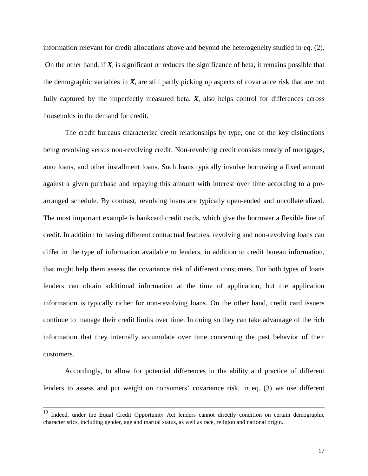information relevant for credit allocations above and beyond the heterogeneity studied in eq. (2). On the other hand, if  $X_i$  is significant or reduces the significance of beta, it remains possible that the demographic variables in  $X_i$  are still partly picking up aspects of covariance risk that are not fully captured by the imperfectly measured beta.  $X_i$  also helps control for differences across households in the demand for credit.

 The credit bureaus characterize credit relationships by type, one of the key distinctions being revolving versus non-revolving credit. Non-revolving credit consists mostly of mortgages, auto loans, and other installment loans. Such loans typically involve borrowing a fixed amount against a given purchase and repaying this amount with interest over time according to a prearranged schedule. By contrast, revolving loans are typically open-ended and uncollateralized. The most important example is bankcard credit cards, which give the borrower a flexible line of credit. In addition to having different contractual features, revolving and non-revolving loans can differ in the type of information available to lenders, in addition to credit bureau information, that might help them assess the covariance risk of different consumers. For both types of loans lenders can obtain additional information at the time of application, but the application information is typically richer for non-revolving loans. On the other hand, credit card issuers continue to manage their credit limits over time. In doing so they can take advantage of the rich information that they internally accumulate over time concerning the past behavior of their customers.

 Accordingly, to allow for potential differences in the ability and practice of different lenders to assess and put weight on consumers' covariance risk, in eq. (3) we use different

<sup>&</sup>lt;sup>19</sup> Indeed, under the Equal Credit Opportunity Act lenders cannot directly condition on certain demographic characteristics, including gender, age and marital status, as well as race, religion and national origin.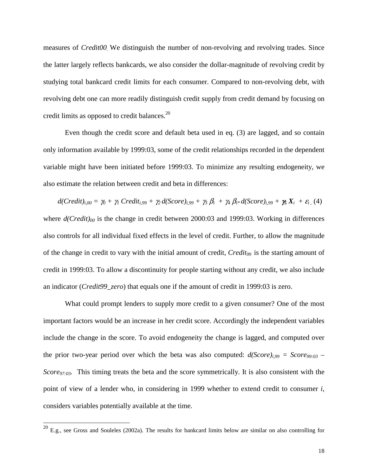measures of *Credit00.* We distinguish the number of non-revolving and revolving trades. Since the latter largely reflects bankcards, we also consider the dollar-magnitude of revolving credit by studying total bankcard credit limits for each consumer. Compared to non-revolving debt, with revolving debt one can more readily distinguish credit supply from credit demand by focusing on credit limits as opposed to credit balances.<sup>20</sup>

Even though the credit score and default beta used in eq. (3) are lagged, and so contain only information available by 1999:03, some of the credit relationships recorded in the dependent variable might have been initiated before 1999:03. To minimize any resulting endogeneity, we also estimate the relation between credit and beta in differences:

 $d(Credit)_{i,00} = \gamma_0 + \gamma_1 Credit_{i,99} + \gamma_2 d(Score)_{i,99} + \gamma_3 \beta_i + \gamma_4 \beta_i * d(Score)_{i,99} + \gamma_5 X_i + \varepsilon_i$  (4) where  $d(Credit)_{00}$  is the change in credit between 2000:03 and 1999:03. Working in differences also controls for all individual fixed effects in the level of credit. Further, to allow the magnitude of the change in credit to vary with the initial amount of credit, *Credit99* is the starting amount of credit in 1999:03. To allow a discontinuity for people starting without any credit, we also include an indicator (*Credit99\_zero*) that equals one if the amount of credit in 1999:03 is zero.

What could prompt lenders to supply more credit to a given consumer? One of the most important factors would be an increase in her credit score. Accordingly the independent variables include the change in the score. To avoid endogeneity the change is lagged, and computed over the prior two-year period over which the beta was also computed:  $d(Score)_{i,99} = Score_{99:03}$ *Score97:03.* This timing treats the beta and the score symmetrically. It is also consistent with the point of view of a lender who, in considering in 1999 whether to extend credit to consumer *i*, considers variables potentially available at the time.

 $^{20}$  E.g., see Gross and Souleles (2002a). The results for bankcard limits below are similar on also controlling for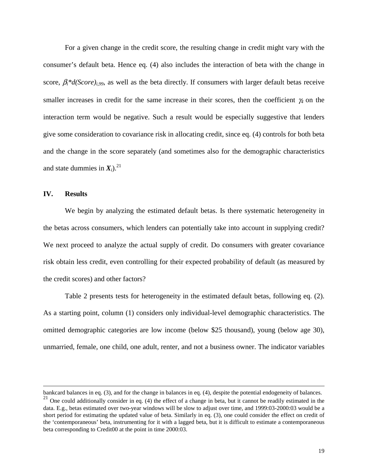For a given change in the credit score, the resulting change in credit might vary with the consumer's default beta. Hence eq. (4) also includes the interaction of beta with the change in score,  $\beta_i^*d(Score)_{i,99}$ , as well as the beta directly. If consumers with larger default betas receive smaller increases in credit for the same increase in their scores, then the coefficient γ*4* on the interaction term would be negative. Such a result would be especially suggestive that lenders give some consideration to covariance risk in allocating credit, since eq. (4) controls for both beta and the change in the score separately (and sometimes also for the demographic characteristics and state dummies in  $X_i$ ).<sup>21</sup>

#### **IV. Results**

 $\overline{a}$ 

We begin by analyzing the estimated default betas. Is there systematic heterogeneity in the betas across consumers, which lenders can potentially take into account in supplying credit? We next proceed to analyze the actual supply of credit. Do consumers with greater covariance risk obtain less credit, even controlling for their expected probability of default (as measured by the credit scores) and other factors?

Table 2 presents tests for heterogeneity in the estimated default betas, following eq. (2). As a starting point, column (1) considers only individual-level demographic characteristics. The omitted demographic categories are low income (below \$25 thousand), young (below age 30), unmarried, female, one child, one adult, renter, and not a business owner. The indicator variables

bankcard balances in eq. (3), and for the change in balances in eq. (4), despite the potential endogeneity of balances.

 $21$  One could additionally consider in eq. (4) the effect of a change in beta, but it cannot be readily estimated in the data. E.g., betas estimated over two-year windows will be slow to adjust over time, and 1999:03-2000:03 would be a short period for estimating the updated value of beta. Similarly in eq. (3), one could consider the effect on credit of the 'contemporaneous' beta, instrumenting for it with a lagged beta, but it is difficult to estimate a contemporaneous beta corresponding to Credit00 at the point in time 2000:03.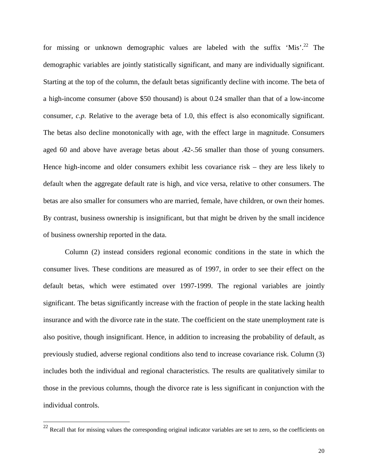for missing or unknown demographic values are labeled with the suffix 'Mis'.<sup>22</sup> The demographic variables are jointly statistically significant, and many are individually significant. Starting at the top of the column, the default betas significantly decline with income. The beta of a high-income consumer (above \$50 thousand) is about 0.24 smaller than that of a low-income consumer, *c.p.* Relative to the average beta of 1.0, this effect is also economically significant. The betas also decline monotonically with age, with the effect large in magnitude. Consumers aged 60 and above have average betas about .42-.56 smaller than those of young consumers. Hence high-income and older consumers exhibit less covariance risk – they are less likely to default when the aggregate default rate is high, and vice versa, relative to other consumers. The betas are also smaller for consumers who are married, female, have children, or own their homes. By contrast, business ownership is insignificant, but that might be driven by the small incidence of business ownership reported in the data.

Column (2) instead considers regional economic conditions in the state in which the consumer lives. These conditions are measured as of 1997, in order to see their effect on the default betas, which were estimated over 1997-1999. The regional variables are jointly significant. The betas significantly increase with the fraction of people in the state lacking health insurance and with the divorce rate in the state. The coefficient on the state unemployment rate is also positive, though insignificant. Hence, in addition to increasing the probability of default, as previously studied, adverse regional conditions also tend to increase covariance risk. Column (3) includes both the individual and regional characteristics. The results are qualitatively similar to those in the previous columns, though the divorce rate is less significant in conjunction with the individual controls.

 $22$  Recall that for missing values the corresponding original indicator variables are set to zero, so the coefficients on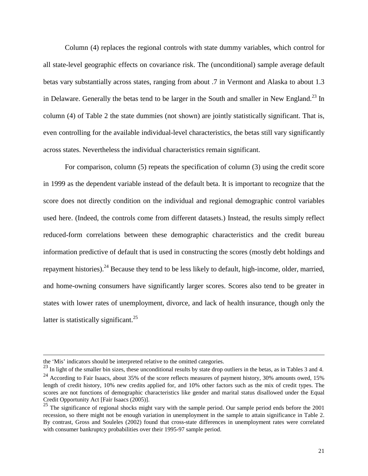Column (4) replaces the regional controls with state dummy variables, which control for all state-level geographic effects on covariance risk. The (unconditional) sample average default betas vary substantially across states, ranging from about .7 in Vermont and Alaska to about 1.3 in Delaware. Generally the betas tend to be larger in the South and smaller in New England.<sup>23</sup> In column (4) of Table 2 the state dummies (not shown) are jointly statistically significant. That is, even controlling for the available individual-level characteristics, the betas still vary significantly across states. Nevertheless the individual characteristics remain significant.

For comparison, column (5) repeats the specification of column (3) using the credit score in 1999 as the dependent variable instead of the default beta. It is important to recognize that the score does not directly condition on the individual and regional demographic control variables used here. (Indeed, the controls come from different datasets.) Instead, the results simply reflect reduced-form correlations between these demographic characteristics and the credit bureau information predictive of default that is used in constructing the scores (mostly debt holdings and repayment histories).<sup>24</sup> Because they tend to be less likely to default, high-income, older, married, and home-owning consumers have significantly larger scores. Scores also tend to be greater in states with lower rates of unemployment, divorce, and lack of health insurance, though only the latter is statistically significant.<sup>25</sup>

the 'Mis' indicators should be interpreted relative to the omitted categories.

 $23$  In light of the smaller bin sizes, these unconditional results by state drop outliers in the betas, as in Tables 3 and 4.

<sup>&</sup>lt;sup>24</sup> According to Fair Isaacs, about 35% of the score reflects measures of payment history, 30% amounts owed, 15% length of credit history, 10% new credits applied for, and 10% other factors such as the mix of credit types. The scores are not functions of demographic characteristics like gender and marital status disallowed under the Equal Credit Opportunity Act [Fair Isaacs (2005)].

 $25$  The significance of regional shocks might vary with the sample period. Our sample period ends before the  $2001$ recession, so there might not be enough variation in unemployment in the sample to attain significance in Table 2. By contrast, Gross and Souleles (2002) found that cross-state differences in unemployment rates were correlated with consumer bankruptcy probabilities over their 1995-97 sample period.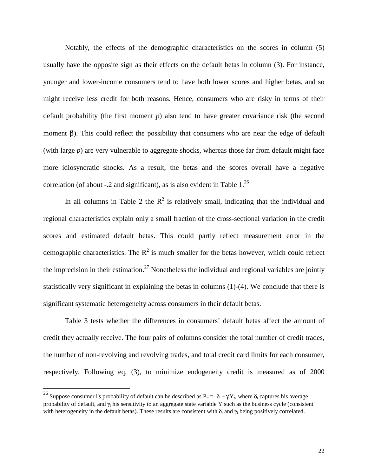Notably, the effects of the demographic characteristics on the scores in column (5) usually have the opposite sign as their effects on the default betas in column (3). For instance, younger and lower-income consumers tend to have both lower scores and higher betas, and so might receive less credit for both reasons. Hence, consumers who are risky in terms of their default probability (the first moment *p*) also tend to have greater covariance risk (the second moment β). This could reflect the possibility that consumers who are near the edge of default (with large *p*) are very vulnerable to aggregate shocks, whereas those far from default might face more idiosyncratic shocks. As a result, the betas and the scores overall have a negative correlation (of about  $-2$  and significant), as is also evident in Table  $1.^{26}$ 

In all columns in Table 2 the  $R^2$  is relatively small, indicating that the individual and regional characteristics explain only a small fraction of the cross-sectional variation in the credit scores and estimated default betas. This could partly reflect measurement error in the demographic characteristics. The  $R^2$  is much smaller for the betas however, which could reflect the imprecision in their estimation.<sup>27</sup> Nonetheless the individual and regional variables are jointly statistically very significant in explaining the betas in columns (1)-(4). We conclude that there is significant systematic heterogeneity across consumers in their default betas.

Table 3 tests whether the differences in consumers' default betas affect the amount of credit they actually receive. The four pairs of columns consider the total number of credit trades, the number of non-revolving and revolving trades, and total credit card limits for each consumer, respectively. Following eq. (3), to minimize endogeneity credit is measured as of 2000

<sup>&</sup>lt;sup>26</sup> Suppose consumer i's probability of default can be described as  $P_{it} = \delta_i + \gamma_i Y_t$ , where  $\delta_i$  captures his average probability of default, and  $\gamma$  his sensitivity to an aggregate state variable Y such as the business cycle (consistent with heterogeneity in the default betas). These results are consistent with  $\delta_i$  and  $\gamma_i$  being positively correlated.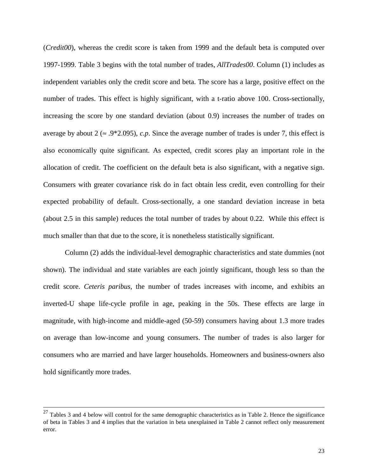(*Credit00*), whereas the credit score is taken from 1999 and the default beta is computed over 1997-1999. Table 3 begins with the total number of trades, *AllTrades00*. Column (1) includes as independent variables only the credit score and beta. The score has a large, positive effect on the number of trades. This effect is highly significant, with a t-ratio above 100. Cross-sectionally, increasing the score by one standard deviation (about 0.9) increases the number of trades on average by about  $2 \approx .9*2.095$ , *c.p.* Since the average number of trades is under 7, this effect is also economically quite significant. As expected, credit scores play an important role in the allocation of credit. The coefficient on the default beta is also significant, with a negative sign. Consumers with greater covariance risk do in fact obtain less credit, even controlling for their expected probability of default. Cross-sectionally, a one standard deviation increase in beta (about 2.5 in this sample) reduces the total number of trades by about 0.22. While this effect is much smaller than that due to the score, it is nonetheless statistically significant.

Column (2) adds the individual-level demographic characteristics and state dummies (not shown). The individual and state variables are each jointly significant, though less so than the credit score. *Ceteris paribus*, the number of trades increases with income, and exhibits an inverted-U shape life-cycle profile in age, peaking in the 50s. These effects are large in magnitude, with high-income and middle-aged (50-59) consumers having about 1.3 more trades on average than low-income and young consumers. The number of trades is also larger for consumers who are married and have larger households. Homeowners and business-owners also hold significantly more trades.

 $27$  Tables 3 and 4 below will control for the same demographic characteristics as in Table 2. Hence the significance of beta in Tables 3 and 4 implies that the variation in beta unexplained in Table 2 cannot reflect only measurement error.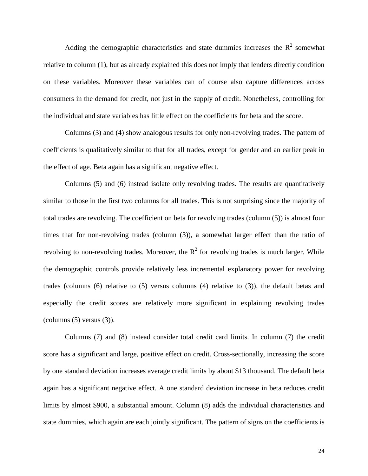Adding the demographic characteristics and state dummies increases the  $R^2$  somewhat relative to column (1), but as already explained this does not imply that lenders directly condition on these variables. Moreover these variables can of course also capture differences across consumers in the demand for credit, not just in the supply of credit. Nonetheless, controlling for the individual and state variables has little effect on the coefficients for beta and the score.

Columns (3) and (4) show analogous results for only non-revolving trades. The pattern of coefficients is qualitatively similar to that for all trades, except for gender and an earlier peak in the effect of age. Beta again has a significant negative effect.

Columns (5) and (6) instead isolate only revolving trades. The results are quantitatively similar to those in the first two columns for all trades. This is not surprising since the majority of total trades are revolving. The coefficient on beta for revolving trades (column (5)) is almost four times that for non-revolving trades (column (3)), a somewhat larger effect than the ratio of revolving to non-revolving trades. Moreover, the  $R^2$  for revolving trades is much larger. While the demographic controls provide relatively less incremental explanatory power for revolving trades (columns (6) relative to (5) versus columns (4) relative to (3)), the default betas and especially the credit scores are relatively more significant in explaining revolving trades (columns (5) versus (3)).

Columns (7) and (8) instead consider total credit card limits. In column (7) the credit score has a significant and large, positive effect on credit. Cross-sectionally, increasing the score by one standard deviation increases average credit limits by about \$13 thousand. The default beta again has a significant negative effect. A one standard deviation increase in beta reduces credit limits by almost \$900, a substantial amount. Column (8) adds the individual characteristics and state dummies, which again are each jointly significant. The pattern of signs on the coefficients is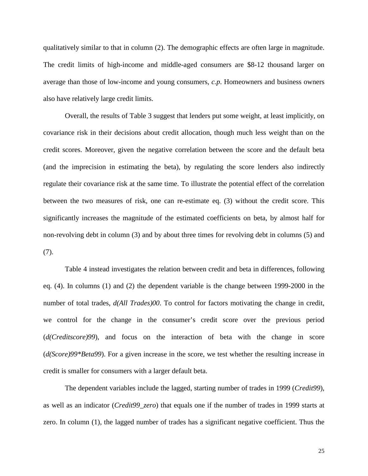qualitatively similar to that in column (2). The demographic effects are often large in magnitude. The credit limits of high-income and middle-aged consumers are \$8-12 thousand larger on average than those of low-income and young consumers, *c.p*. Homeowners and business owners also have relatively large credit limits.

Overall, the results of Table 3 suggest that lenders put some weight, at least implicitly, on covariance risk in their decisions about credit allocation, though much less weight than on the credit scores. Moreover, given the negative correlation between the score and the default beta (and the imprecision in estimating the beta), by regulating the score lenders also indirectly regulate their covariance risk at the same time. To illustrate the potential effect of the correlation between the two measures of risk, one can re-estimate eq. (3) without the credit score. This significantly increases the magnitude of the estimated coefficients on beta, by almost half for non-revolving debt in column (3) and by about three times for revolving debt in columns (5) and (7).

Table 4 instead investigates the relation between credit and beta in differences, following eq. (4). In columns (1) and (2) the dependent variable is the change between 1999-2000 in the number of total trades,  $d(All~Trades)00$ . To control for factors motivating the change in credit, we control for the change in the consumer's credit score over the previous period (*d(Creditscore)99*), and focus on the interaction of beta with the change in score (*d(Score)99\*Beta99*). For a given increase in the score, we test whether the resulting increase in credit is smaller for consumers with a larger default beta.

The dependent variables include the lagged, starting number of trades in 1999 (*Credit99*), as well as an indicator (*Credit99\_zero*) that equals one if the number of trades in 1999 starts at zero. In column (1), the lagged number of trades has a significant negative coefficient. Thus the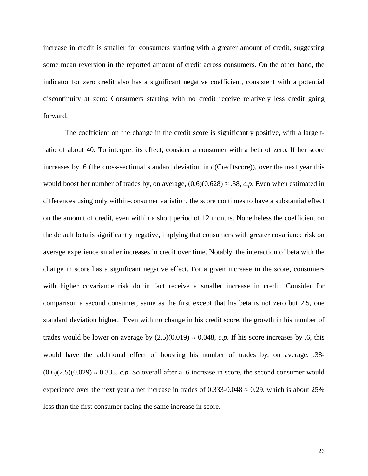increase in credit is smaller for consumers starting with a greater amount of credit, suggesting some mean reversion in the reported amount of credit across consumers. On the other hand, the indicator for zero credit also has a significant negative coefficient, consistent with a potential discontinuity at zero: Consumers starting with no credit receive relatively less credit going forward.

The coefficient on the change in the credit score is significantly positive, with a large tratio of about 40. To interpret its effect, consider a consumer with a beta of zero. If her score increases by .6 (the cross-sectional standard deviation in d(Creditscore)), over the next year this would boost her number of trades by, on average,  $(0.6)(0.628) \approx .38$ , *c.p.* Even when estimated in differences using only within-consumer variation, the score continues to have a substantial effect on the amount of credit, even within a short period of 12 months. Nonetheless the coefficient on the default beta is significantly negative, implying that consumers with greater covariance risk on average experience smaller increases in credit over time. Notably, the interaction of beta with the change in score has a significant negative effect. For a given increase in the score, consumers with higher covariance risk do in fact receive a smaller increase in credit. Consider for comparison a second consumer, same as the first except that his beta is not zero but 2.5, one standard deviation higher. Even with no change in his credit score, the growth in his number of trades would be lower on average by  $(2.5)(0.019) \approx 0.048$ , *c.p.* If his score increases by .6, this would have the additional effect of boosting his number of trades by, on average, .38-  $(0.6)(2.5)(0.029) \approx 0.333$ , *c.p.* So overall after a .6 increase in score, the second consumer would experience over the next year a net increase in trades of  $0.333$ -0.048  $\approx 0.29$ , which is about 25% less than the first consumer facing the same increase in score.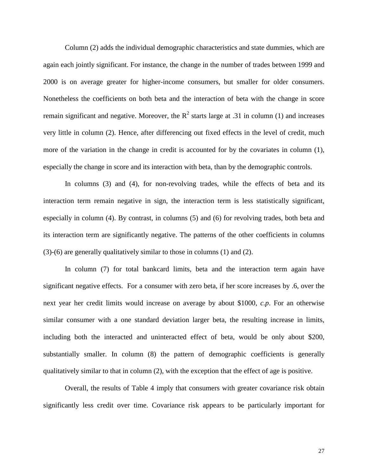Column (2) adds the individual demographic characteristics and state dummies, which are again each jointly significant. For instance, the change in the number of trades between 1999 and 2000 is on average greater for higher-income consumers, but smaller for older consumers. Nonetheless the coefficients on both beta and the interaction of beta with the change in score remain significant and negative. Moreover, the  $R^2$  starts large at .31 in column (1) and increases very little in column (2). Hence, after differencing out fixed effects in the level of credit, much more of the variation in the change in credit is accounted for by the covariates in column (1), especially the change in score and its interaction with beta, than by the demographic controls.

In columns (3) and (4), for non-revolving trades, while the effects of beta and its interaction term remain negative in sign, the interaction term is less statistically significant, especially in column (4). By contrast, in columns (5) and (6) for revolving trades, both beta and its interaction term are significantly negative. The patterns of the other coefficients in columns (3)-(6) are generally qualitatively similar to those in columns (1) and (2).

In column (7) for total bankcard limits, beta and the interaction term again have significant negative effects. For a consumer with zero beta, if her score increases by .6, over the next year her credit limits would increase on average by about \$1000, *c.p*. For an otherwise similar consumer with a one standard deviation larger beta, the resulting increase in limits, including both the interacted and uninteracted effect of beta, would be only about \$200, substantially smaller. In column (8) the pattern of demographic coefficients is generally qualitatively similar to that in column (2), with the exception that the effect of age is positive.

Overall, the results of Table 4 imply that consumers with greater covariance risk obtain significantly less credit over time. Covariance risk appears to be particularly important for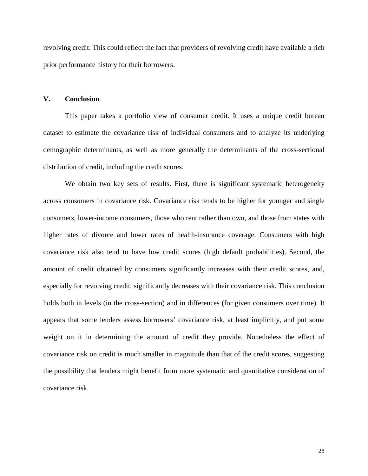revolving credit. This could reflect the fact that providers of revolving credit have available a rich prior performance history for their borrowers.

### **V. Conclusion**

This paper takes a portfolio view of consumer credit. It uses a unique credit bureau dataset to estimate the covariance risk of individual consumers and to analyze its underlying demographic determinants, as well as more generally the determinants of the cross-sectional distribution of credit, including the credit scores.

We obtain two key sets of results. First, there is significant systematic heterogeneity across consumers in covariance risk. Covariance risk tends to be higher for younger and single consumers, lower-income consumers, those who rent rather than own, and those from states with higher rates of divorce and lower rates of health-insurance coverage. Consumers with high covariance risk also tend to have low credit scores (high default probabilities). Second, the amount of credit obtained by consumers significantly increases with their credit scores, and, especially for revolving credit, significantly decreases with their covariance risk. This conclusion holds both in levels (in the cross-section) and in differences (for given consumers over time). It appears that some lenders assess borrowers' covariance risk, at least implicitly, and put some weight on it in determining the amount of credit they provide. Nonetheless the effect of covariance risk on credit is much smaller in magnitude than that of the credit scores, suggesting the possibility that lenders might benefit from more systematic and quantitative consideration of covariance risk.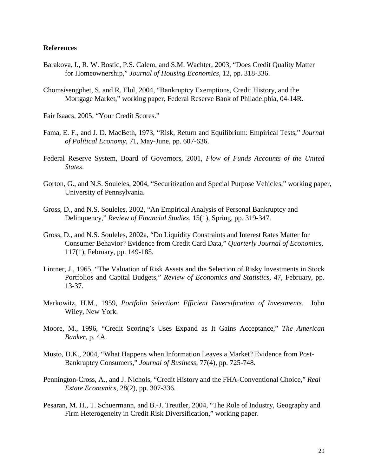#### **References**

- Barakova, I., R. W. Bostic, P.S. Calem, and S.M. Wachter, 2003, "Does Credit Quality Matter for Homeownership," *Journal of Housing Economics*, 12, pp. 318-336.
- Chomsisengphet, S. and R. Elul, 2004, "Bankruptcy Exemptions, Credit History, and the Mortgage Market," working paper, Federal Reserve Bank of Philadelphia, 04-14R.

Fair Isaacs, 2005, "Your Credit Scores."

- Fama, E. F., and J. D. MacBeth, 1973, "Risk, Return and Equilibrium: Empirical Tests," *Journal of Political Economy*, 71, May-June, pp. 607-636.
- Federal Reserve System, Board of Governors, 2001, *Flow of Funds Accounts of the United States*.
- Gorton, G., and N.S. Souleles, 2004, "Securitization and Special Purpose Vehicles," working paper, University of Pennsylvania.
- Gross, D., and N.S. Souleles, 2002, "An Empirical Analysis of Personal Bankruptcy and Delinquency," *Review of Financial Studies*, 15(1), Spring, pp. 319-347.
- Gross, D., and N.S. Souleles, 2002a, "Do Liquidity Constraints and Interest Rates Matter for Consumer Behavior? Evidence from Credit Card Data," *Quarterly Journal of Economics*, 117(1), February, pp. 149-185.
- Lintner, J., 1965, "The Valuation of Risk Assets and the Selection of Risky Investments in Stock Portfolios and Capital Budgets," *Review of Economics and Statistics*, 47, February, pp. 13-37.
- Markowitz, H.M., 1959, *Portfolio Selection: Efficient Diversification of Investments*. John Wiley, New York.
- Moore, M., 1996, "Credit Scoring's Uses Expand as It Gains Acceptance," *The American Banker*, p. 4A.
- Musto, D.K., 2004, "What Happens when Information Leaves a Market? Evidence from Post-Bankruptcy Consumers," *Journal of Business*, 77(4), pp. 725-748.
- Pennington-Cross, A., and J. Nichols, "Credit History and the FHA-Conventional Choice," *Real Estate Economics*, 28(2), pp. 307-336.
- Pesaran, M. H., T. Schuermann, and B.-J. Treutler, 2004, "The Role of Industry, Geography and Firm Heterogeneity in Credit Risk Diversification," working paper.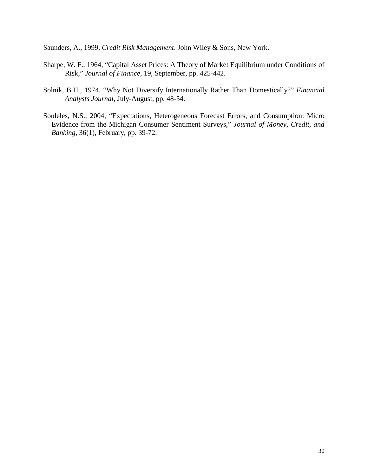Saunders, A., 1999, *Credit Risk Management*. John Wiley & Sons, New York.

- Sharpe, W. F., 1964, "Capital Asset Prices: A Theory of Market Equilibrium under Conditions of Risk," *Journal of Finance*, 19, September, pp. 425-442.
- Solnik, B.H., 1974, "Why Not Diversify Internationally Rather Than Domestically?" *Financial Analysts Journal*, July-August, pp. 48-54.
- Souleles, N.S., 2004, "Expectations, Heterogeneous Forecast Errors, and Consumption: Micro Evidence from the Michigan Consumer Sentiment Surveys," *Journal of Money, Credit, and Banking*, 36(1), February, pp. 39-72.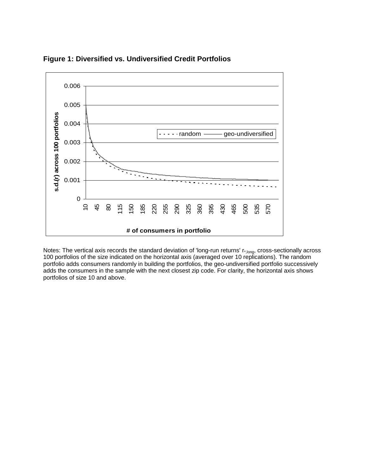

**Figure 1: Diversified vs. Undiversified Credit Portfolios** 

Notes: The vertical axis records the standard deviation of 'long-run returns' r<sub>\*,long</sub>, cross-sectionally across 100 portfolios of the size indicated on the horizontal axis (averaged over 10 replications). The random portfolio adds consumers randomly in building the portfolios, the geo-undiversified portfolio successively adds the consumers in the sample with the next closest zip code. For clarity, the horizontal axis shows portfolios of size 10 and above.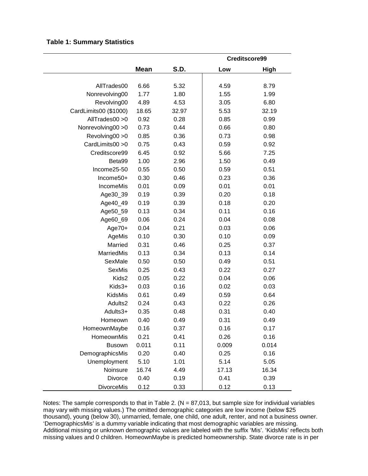#### **Table 1: Summary Statistics**

|                       |             |       | Creditscore99 |             |  |  |  |
|-----------------------|-------------|-------|---------------|-------------|--|--|--|
|                       | <b>Mean</b> | S.D.  | Low           | <b>High</b> |  |  |  |
|                       |             |       |               |             |  |  |  |
| AllTrades00           | 6.66        | 5.32  | 4.59          | 8.79        |  |  |  |
| Nonrevolving00        | 1.77        | 1.80  | 1.55          | 1.99        |  |  |  |
| Revolving00           | 4.89        | 4.53  | 3.05          | 6.80        |  |  |  |
| CardLimits00 (\$1000) | 18.65       | 32.97 | 5.53          | 32.19       |  |  |  |
| AllTrades00 > 0       | 0.92        | 0.28  | 0.85          | 0.99        |  |  |  |
| Nonrevolving00 > 0    | 0.73        | 0.44  | 0.66          | 0.80        |  |  |  |
| Revolving00 > 0       | 0.85        | 0.36  | 0.73          | 0.98        |  |  |  |
| CardLimits00 > 0      | 0.75        | 0.43  | 0.59          | 0.92        |  |  |  |
| Creditscore99         | 6.45        | 0.92  | 5.66          | 7.25        |  |  |  |
| Beta99                | 1.00        | 2.96  | 1.50          | 0.49        |  |  |  |
| Income25-50           | 0.55        | 0.50  | 0.59          | 0.51        |  |  |  |
| Income50+             | 0.30        | 0.46  | 0.23          | 0.36        |  |  |  |
| IncomeMis             | 0.01        | 0.09  | 0.01          | 0.01        |  |  |  |
| Age30_39              | 0.19        | 0.39  | 0.20          | 0.18        |  |  |  |
| Age40_49              | 0.19        | 0.39  | 0.18          | 0.20        |  |  |  |
| Age50_59              | 0.13        | 0.34  | 0.11          | 0.16        |  |  |  |
| Age60_69              | 0.06        | 0.24  | 0.04          | 0.08        |  |  |  |
| Age70+                | 0.04        | 0.21  | 0.03          | 0.06        |  |  |  |
| AgeMis                | 0.10        | 0.30  | 0.10          | 0.09        |  |  |  |
| Married               | 0.31        | 0.46  | 0.25          | 0.37        |  |  |  |
| MarriedMis            | 0.13        | 0.34  | 0.13          | 0.14        |  |  |  |
| SexMale               | 0.50        | 0.50  | 0.49          | 0.51        |  |  |  |
| SexMis                | 0.25        | 0.43  | 0.22          | 0.27        |  |  |  |
| Kids2                 | 0.05        | 0.22  | 0.04          | 0.06        |  |  |  |
| Kids3+                | 0.03        | 0.16  | 0.02          | 0.03        |  |  |  |
| KidsMis               | 0.61        | 0.49  | 0.59          | 0.64        |  |  |  |
| Adults2               | 0.24        | 0.43  | 0.22          | 0.26        |  |  |  |
| Adults3+              | 0.35        | 0.48  | 0.31          | 0.40        |  |  |  |
| Homeown               | 0.40        | 0.49  | 0.31          | 0.49        |  |  |  |
| HomeownMaybe          | 0.16        | 0.37  | 0.16          | 0.17        |  |  |  |
| HomeownMis            | 0.21        | 0.41  | 0.26          | 0.16        |  |  |  |
| <b>Busown</b>         | 0.011       | 0.11  | 0.009         | 0.014       |  |  |  |
| DemographicsMis       | 0.20        | 0.40  | 0.25          | 0.16        |  |  |  |
| Unemployment          | 5.10        | 1.01  | 5.14          | 5.05        |  |  |  |
| Noinsure              | 16.74       | 4.49  | 17.13         | 16.34       |  |  |  |
| <b>Divorce</b>        | 0.40        | 0.19  | 0.41          | 0.39        |  |  |  |
| <b>DivorceMis</b>     | 0.12        | 0.33  | 0.12          | 0.13        |  |  |  |

Notes: The sample corresponds to that in Table 2. (N = 87,013, but sample size for individual variables may vary with missing values.) The omitted demographic categories are low income (below \$25 thousand), young (below 30), unmarried, female, one child, one adult, renter, and not a business owner. 'DemographicsMis' is a dummy variable indicating that most demographic variables are missing. Additional missing or unknown demographic values are labeled with the suffix 'Mis'. 'KidsMis' reflects both missing values and 0 children. HomeownMaybe is predicted homeownership. State divorce rate is in per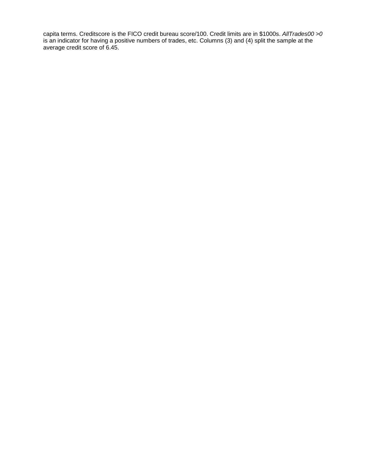capita terms. Creditscore is the FICO credit bureau score/100. Credit limits are in \$1000s. *AllTrades00 >0* is an indicator for having a positive numbers of trades, etc. Columns (3) and (4) split the sample at the average credit score of 6.45.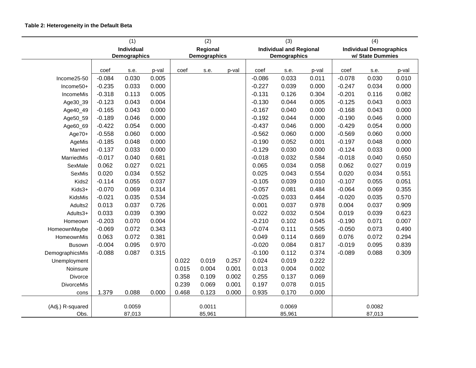|                   | (1)<br>(2) |                            |       |       |                          | (3)   |          | (4)                                            |       |          |                                                    |       |
|-------------------|------------|----------------------------|-------|-------|--------------------------|-------|----------|------------------------------------------------|-------|----------|----------------------------------------------------|-------|
|                   |            | Individual<br>Demographics |       |       | Regional<br>Demographics |       |          | <b>Individual and Regional</b><br>Demographics |       |          | <b>Individual Demographics</b><br>w/ State Dummies |       |
|                   |            |                            |       |       |                          |       |          |                                                |       |          |                                                    |       |
|                   | coef       | s.e.                       | p-val | coef  | s.e.                     | p-val | coef     | s.e.                                           | p-val | coef     | s.e.                                               | p-val |
| Income25-50       | $-0.084$   | 0.030                      | 0.005 |       |                          |       | $-0.086$ | 0.033                                          | 0.011 | $-0.078$ | 0.030                                              | 0.010 |
| Income50+         | $-0.235$   | 0.033                      | 0.000 |       |                          |       | $-0.227$ | 0.039                                          | 0.000 | $-0.247$ | 0.034                                              | 0.000 |
| IncomeMis         | $-0.318$   | 0.113                      | 0.005 |       |                          |       | $-0.131$ | 0.126                                          | 0.304 | $-0.201$ | 0.116                                              | 0.082 |
| Age30_39          | $-0.123$   | 0.043                      | 0.004 |       |                          |       | $-0.130$ | 0.044                                          | 0.005 | $-0.125$ | 0.043                                              | 0.003 |
| Age40_49          | $-0.165$   | 0.043                      | 0.000 |       |                          |       | $-0.167$ | 0.040                                          | 0.000 | $-0.168$ | 0.043                                              | 0.000 |
| Age50_59          | $-0.189$   | 0.046                      | 0.000 |       |                          |       | $-0.192$ | 0.044                                          | 0.000 | $-0.190$ | 0.046                                              | 0.000 |
| Age60_69          | $-0.422$   | 0.054                      | 0.000 |       |                          |       | $-0.437$ | 0.046                                          | 0.000 | $-0.429$ | 0.054                                              | 0.000 |
| $Age70+$          | $-0.558$   | 0.060                      | 0.000 |       |                          |       | $-0.562$ | 0.060                                          | 0.000 | $-0.569$ | 0.060                                              | 0.000 |
| AgeMis            | $-0.185$   | 0.048                      | 0.000 |       |                          |       | $-0.190$ | 0.052                                          | 0.001 | $-0.197$ | 0.048                                              | 0.000 |
| Married           | $-0.137$   | 0.033                      | 0.000 |       |                          |       | $-0.129$ | 0.030                                          | 0.000 | $-0.124$ | 0.033                                              | 0.000 |
| MarriedMis        | $-0.017$   | 0.040                      | 0.681 |       |                          |       | $-0.018$ | 0.032                                          | 0.584 | $-0.018$ | 0.040                                              | 0.650 |
| SexMale           | 0.062      | 0.027                      | 0.021 |       |                          |       | 0.065    | 0.034                                          | 0.058 | 0.062    | 0.027                                              | 0.019 |
| SexMis            | 0.020      | 0.034                      | 0.552 |       |                          |       | 0.025    | 0.043                                          | 0.554 | 0.020    | 0.034                                              | 0.551 |
| Kids2             | $-0.114$   | 0.055                      | 0.037 |       |                          |       | $-0.105$ | 0.039                                          | 0.010 | $-0.107$ | 0.055                                              | 0.051 |
| Kids3+            | $-0.070$   | 0.069                      | 0.314 |       |                          |       | $-0.057$ | 0.081                                          | 0.484 | $-0.064$ | 0.069                                              | 0.355 |
| KidsMis           | $-0.021$   | 0.035                      | 0.534 |       |                          |       | $-0.025$ | 0.033                                          | 0.464 | $-0.020$ | 0.035                                              | 0.570 |
| Adults2           | 0.013      | 0.037                      | 0.726 |       |                          |       | 0.001    | 0.037                                          | 0.978 | 0.004    | 0.037                                              | 0.909 |
| Adults3+          | 0.033      | 0.039                      | 0.390 |       |                          |       | 0.022    | 0.032                                          | 0.504 | 0.019    | 0.039                                              | 0.623 |
| Homeown           | $-0.203$   | 0.070                      | 0.004 |       |                          |       | $-0.210$ | 0.102                                          | 0.045 | $-0.190$ | 0.071                                              | 0.007 |
| HomeownMaybe      | $-0.069$   | 0.072                      | 0.343 |       |                          |       | $-0.074$ | 0.111                                          | 0.505 | $-0.050$ | 0.073                                              | 0.490 |
| HomeownMis        | 0.063      | 0.072                      | 0.381 |       |                          |       | 0.049    | 0.114                                          | 0.669 | 0.076    | 0.072                                              | 0.294 |
| <b>Busown</b>     | $-0.004$   | 0.095                      | 0.970 |       |                          |       | $-0.020$ | 0.084                                          | 0.817 | $-0.019$ | 0.095                                              | 0.839 |
| DemographicsMis   | $-0.088$   | 0.087                      | 0.315 |       |                          |       | $-0.100$ | 0.112                                          | 0.374 | $-0.089$ | 0.088                                              | 0.309 |
| Unemployment      |            |                            |       | 0.022 | 0.019                    | 0.257 | 0.024    | 0.019                                          | 0.222 |          |                                                    |       |
| Noinsure          |            |                            |       | 0.015 | 0.004                    | 0.001 | 0.013    | 0.004                                          | 0.002 |          |                                                    |       |
| Divorce           |            |                            |       | 0.358 | 0.109                    | 0.002 | 0.255    | 0.137                                          | 0.069 |          |                                                    |       |
| <b>DivorceMis</b> |            |                            |       | 0.239 | 0.069                    | 0.001 | 0.197    | 0.078                                          | 0.015 |          |                                                    |       |
| cons              | 1.379      | 0.088                      | 0.000 | 0.468 | 0.123                    | 0.000 | 0.935    | 0.170                                          | 0.000 |          |                                                    |       |
|                   |            |                            |       |       |                          |       |          |                                                |       |          |                                                    |       |
| (Adj.) R-squared  |            | 0.0059                     |       |       | 0.0011                   |       |          | 0.0069                                         |       |          | 0.0082                                             |       |
| Obs.              |            | 87,013                     |       |       | 85,961                   |       |          | 85,961                                         |       |          | 87,013                                             |       |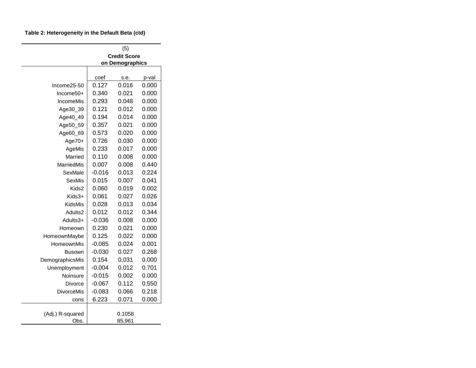#### **Table 2: Heterogeneity in the Default Beta (ctd)**

|                    |                   | (5)                 |                |
|--------------------|-------------------|---------------------|----------------|
|                    |                   | <b>Credit Score</b> |                |
|                    |                   | on Demographics     |                |
|                    | coef              | s.e.                | p-val          |
| Income25-50        | 0.127             | 0.016               | 0.000          |
| $Income50+$        | 0.340             | 0.021               | 0.000          |
| IncomeMis          | 0.293             | 0.048               | 0.000          |
| Age30_39           | 0.121             | 0.012               | 0.000          |
| Age40_49           | 0.194             | 0.014               | 0.000          |
| Age50_59           | 0.357             | 0.021               | 0.000          |
| Age60_69           | 0.573             | 0.020               | 0.000          |
| Age70+             | 0.726             | 0.030               | 0.000          |
| AgeMis             | 0.233             | 0.017               | 0.000          |
| Married            | 0.110             | 0.008               | 0.000          |
| <b>MarriedMis</b>  | 0.007             | 0.008               | 0.440          |
|                    | $-0.016$          | 0.013               | 0.224          |
| SexMale<br>SexMis  | 0.015             | 0.007               | 0.041          |
| Kids2              | 0.060             | 0.019               | 0.002          |
| Kids3+             | 0.061             | 0.027               | 0.026          |
|                    | 0.028             | 0.013               | 0.034          |
| KidsMis<br>Adults2 | 0.012             | 0.012               | 0.344          |
|                    | $-0.036$          | 0.008               | 0.000          |
| Adults3+           | 0.230             | 0.021               | 0.000          |
| Homeown            |                   |                     |                |
| HomeownMaybe       | 0.125<br>$-0.085$ | 0.022<br>0.024      | 0.000<br>0.001 |
| HomeownMis         | $-0.030$          | 0.027               | 0.268          |
| Busown             | 0.154             | 0.031               | 0.000          |
| DemographicsMis    |                   |                     |                |
| Unemployment       | $-0.004$          | 0.012               | 0.701          |
| Noinsure           | $-0.015$          | 0.002               | 0.000          |
| Divorce            | $-0.067$          | 0.112               | 0.550          |
| <b>DivorceMis</b>  | $-0.083$          | 0.066               | 0.218          |
| cons               | 6.223             | 0.071               | 0.000          |
| (Adj.) R-squared   |                   | 0.1058              |                |
| Obs.               |                   | 85,961              |                |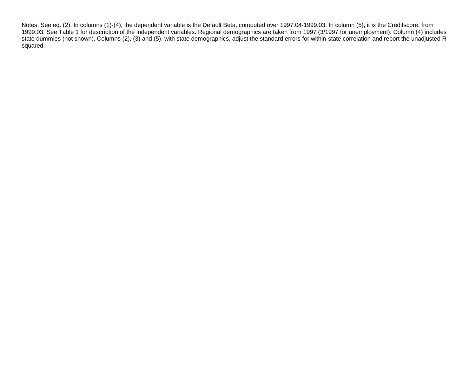Notes: See eq. (2). In columns (1)-(4), the dependent variable is the Default Beta, computed over 1997:04-1999:03. In column (5), it is the Creditscore, from 1999:03. See Table 1 for description of the independent variables. Regional demographics are taken from 1997 (3/1997 for unemployment). Column (4) includes state dummies (not shown). Columns (2), (3) and (5), with state demographics, adjust the standard errors for within-state correlation and report the unadjusted Rsquared.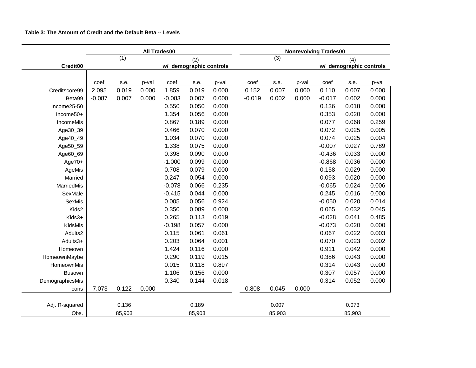|                   |          |        | All Trades00 |                          |                         | <b>Nonrevolving Trades00</b> |                        |        |       |                         |        |       |  |
|-------------------|----------|--------|--------------|--------------------------|-------------------------|------------------------------|------------------------|--------|-------|-------------------------|--------|-------|--|
|                   |          | (1)    |              |                          | (2)                     |                              | $\overline{3)}$<br>(4) |        |       |                         |        |       |  |
| Credit00          |          |        |              |                          | w/ demographic controls |                              |                        |        |       | w/ demographic controls |        |       |  |
|                   |          |        |              |                          |                         |                              |                        |        |       |                         |        |       |  |
|                   | coef     | s.e.   | p-val        | $\overline{\text{coef}}$ | s.e.                    | p-val                        | coef                   | s.e.   | p-val | coef                    | s.e.   | p-val |  |
| Creditscore99     | 2.095    | 0.019  | 0.000        | 1.859                    | 0.019                   | 0.000                        | 0.152                  | 0.007  | 0.000 | 0.110                   | 0.007  | 0.000 |  |
| Beta99            | $-0.087$ | 0.007  | 0.000        | $-0.083$                 | 0.007                   | 0.000                        | $-0.019$               | 0.002  | 0.000 | $-0.017$                | 0.002  | 0.000 |  |
| Income25-50       |          |        |              | 0.550                    | 0.050                   | 0.000                        |                        |        |       | 0.136                   | 0.018  | 0.000 |  |
| Income50+         |          |        |              | 1.354                    | 0.056                   | 0.000                        |                        |        |       | 0.353                   | 0.020  | 0.000 |  |
| IncomeMis         |          |        |              | 0.867                    | 0.189                   | 0.000                        |                        |        |       | 0.077                   | 0.068  | 0.259 |  |
| Age30_39          |          |        |              | 0.466                    | 0.070                   | 0.000                        |                        |        |       | 0.072                   | 0.025  | 0.005 |  |
| Age40_49          |          |        |              | 1.034                    | 0.070                   | 0.000                        |                        |        |       | 0.074                   | 0.025  | 0.004 |  |
| Age50_59          |          |        |              | 1.338                    | 0.075                   | 0.000                        |                        |        |       | $-0.007$                | 0.027  | 0.789 |  |
| Age60_69          |          |        |              | 0.398                    | 0.090                   | 0.000                        |                        |        |       | $-0.436$                | 0.033  | 0.000 |  |
| $Age70+$          |          |        |              | $-1.000$                 | 0.099                   | 0.000                        |                        |        |       | $-0.868$                | 0.036  | 0.000 |  |
| AgeMis            |          |        |              | 0.708                    | 0.079                   | 0.000                        |                        |        |       | 0.158                   | 0.029  | 0.000 |  |
| Married           |          |        |              | 0.247                    | 0.054                   | 0.000                        |                        |        |       | 0.093                   | 0.020  | 0.000 |  |
| <b>MarriedMis</b> |          |        |              | $-0.078$                 | 0.066                   | 0.235                        |                        |        |       | $-0.065$                | 0.024  | 0.006 |  |
| SexMale           |          |        |              | $-0.415$                 | 0.044                   | 0.000                        |                        |        |       | 0.245                   | 0.016  | 0.000 |  |
| SexMis            |          |        |              | 0.005                    | 0.056                   | 0.924                        |                        |        |       | $-0.050$                | 0.020  | 0.014 |  |
| Kids2             |          |        |              | 0.350                    | 0.089                   | 0.000                        |                        |        |       | 0.065                   | 0.032  | 0.045 |  |
| Kids3+            |          |        |              | 0.265                    | 0.113                   | 0.019                        |                        |        |       | $-0.028$                | 0.041  | 0.485 |  |
| KidsMis           |          |        |              | $-0.198$                 | 0.057                   | 0.000                        |                        |        |       | $-0.073$                | 0.020  | 0.000 |  |
| Adults2           |          |        |              | 0.115                    | 0.061                   | 0.061                        |                        |        |       | 0.067                   | 0.022  | 0.003 |  |
| Adults3+          |          |        |              | 0.203                    | 0.064                   | 0.001                        |                        |        |       | 0.070                   | 0.023  | 0.002 |  |
| Homeown           |          |        |              | 1.424                    | 0.116                   | 0.000                        |                        |        |       | 0.911                   | 0.042  | 0.000 |  |
| HomeownMaybe      |          |        |              | 0.290                    | 0.119                   | 0.015                        |                        |        |       | 0.386                   | 0.043  | 0.000 |  |
| HomeownMis        |          |        |              | 0.015                    | 0.118                   | 0.897                        |                        |        |       | 0.314                   | 0.043  | 0.000 |  |
| Busown            |          |        |              | 1.106                    | 0.156                   | 0.000                        |                        |        |       | 0.307                   | 0.057  | 0.000 |  |
| DemographicsMis   |          |        |              | 0.340                    | 0.144                   | 0.018                        |                        |        |       | 0.314                   | 0.052  | 0.000 |  |
| cons              | $-7.073$ | 0.122  | 0.000        |                          |                         |                              | 0.808                  | 0.045  | 0.000 |                         |        |       |  |
|                   |          |        |              |                          |                         |                              |                        |        |       |                         |        |       |  |
| Adj. R-squared    |          | 0.136  |              |                          | 0.189                   |                              |                        | 0.007  |       |                         | 0.073  |       |  |
| Obs.              |          | 85,903 |              |                          | 85,903                  |                              |                        | 85,903 |       |                         | 85,903 |       |  |

#### **Table 3: The Amount of Credit and the Default Beta -- Levels**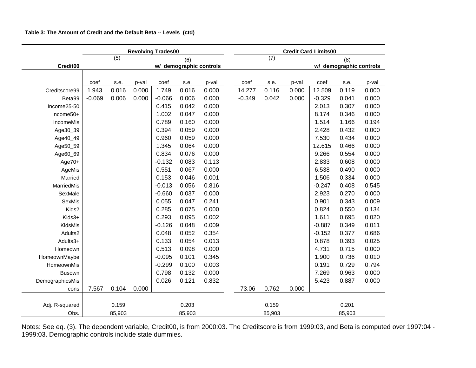|                 | <b>Revolving Trades00</b> |                  |       |                         |        |       |  | <b>Credit Card Limits00</b> |                  |       |                         |        |       |  |  |
|-----------------|---------------------------|------------------|-------|-------------------------|--------|-------|--|-----------------------------|------------------|-------|-------------------------|--------|-------|--|--|
|                 |                           | $\overline{(5)}$ |       |                         | (6)    |       |  |                             | $\overline{(7)}$ |       |                         | (8)    |       |  |  |
| Credit00        |                           |                  |       | w/ demographic controls |        |       |  |                             |                  |       | w/ demographic controls |        |       |  |  |
|                 |                           |                  |       |                         |        |       |  |                             |                  |       |                         |        |       |  |  |
|                 | coef                      | s.e.             | p-val | coef                    | s.e.   | p-val |  | coef                        | s.e.             | p-val | coef                    | s.e.   | p-val |  |  |
| Creditscore99   | 1.943                     | 0.016            | 0.000 | 1.749                   | 0.016  | 0.000 |  | 14.277                      | 0.116            | 0.000 | 12.509                  | 0.119  | 0.000 |  |  |
| Beta99          | $-0.069$                  | 0.006            | 0.000 | $-0.066$                | 0.006  | 0.000 |  | $-0.349$                    | 0.042            | 0.000 | $-0.329$                | 0.041  | 0.000 |  |  |
| Income25-50     |                           |                  |       | 0.415                   | 0.042  | 0.000 |  |                             |                  |       | 2.013                   | 0.307  | 0.000 |  |  |
| Income50+       |                           |                  |       | 1.002                   | 0.047  | 0.000 |  |                             |                  |       | 8.174                   | 0.346  | 0.000 |  |  |
| IncomeMis       |                           |                  |       | 0.789                   | 0.160  | 0.000 |  |                             |                  |       | 1.514                   | 1.166  | 0.194 |  |  |
| Age30_39        |                           |                  |       | 0.394                   | 0.059  | 0.000 |  |                             |                  |       | 2.428                   | 0.432  | 0.000 |  |  |
| Age40_49        |                           |                  |       | 0.960                   | 0.059  | 0.000 |  |                             |                  |       | 7.530                   | 0.434  | 0.000 |  |  |
| Age50_59        |                           |                  |       | 1.345                   | 0.064  | 0.000 |  |                             |                  |       | 12.615                  | 0.466  | 0.000 |  |  |
| Age60_69        |                           |                  |       | 0.834                   | 0.076  | 0.000 |  |                             |                  |       | 9.266                   | 0.554  | 0.000 |  |  |
| $Age70+$        |                           |                  |       | $-0.132$                | 0.083  | 0.113 |  |                             |                  |       | 2.833                   | 0.608  | 0.000 |  |  |
| AgeMis          |                           |                  |       | 0.551                   | 0.067  | 0.000 |  |                             |                  |       | 6.538                   | 0.490  | 0.000 |  |  |
| Married         |                           |                  |       | 0.153                   | 0.046  | 0.001 |  |                             |                  |       | 1.506                   | 0.334  | 0.000 |  |  |
| MarriedMis      |                           |                  |       | $-0.013$                | 0.056  | 0.816 |  |                             |                  |       | $-0.247$                | 0.408  | 0.545 |  |  |
| SexMale         |                           |                  |       | $-0.660$                | 0.037  | 0.000 |  |                             |                  |       | 2.923                   | 0.270  | 0.000 |  |  |
| SexMis          |                           |                  |       | 0.055                   | 0.047  | 0.241 |  |                             |                  |       | 0.901                   | 0.343  | 0.009 |  |  |
| Kids2           |                           |                  |       | 0.285                   | 0.075  | 0.000 |  |                             |                  |       | 0.824                   | 0.550  | 0.134 |  |  |
| Kids3+          |                           |                  |       | 0.293                   | 0.095  | 0.002 |  |                             |                  |       | 1.611                   | 0.695  | 0.020 |  |  |
| KidsMis         |                           |                  |       | $-0.126$                | 0.048  | 0.009 |  |                             |                  |       | $-0.887$                | 0.349  | 0.011 |  |  |
| Adults2         |                           |                  |       | 0.048                   | 0.052  | 0.354 |  |                             |                  |       | $-0.152$                | 0.377  | 0.686 |  |  |
| Adults3+        |                           |                  |       | 0.133                   | 0.054  | 0.013 |  |                             |                  |       | 0.878                   | 0.393  | 0.025 |  |  |
| Homeown         |                           |                  |       | 0.513                   | 0.098  | 0.000 |  |                             |                  |       | 4.731                   | 0.715  | 0.000 |  |  |
| HomeownMaybe    |                           |                  |       | $-0.095$                | 0.101  | 0.345 |  |                             |                  |       | 1.900                   | 0.736  | 0.010 |  |  |
| HomeownMis      |                           |                  |       | $-0.299$                | 0.100  | 0.003 |  |                             |                  |       | 0.191                   | 0.729  | 0.794 |  |  |
| <b>Busown</b>   |                           |                  |       | 0.798                   | 0.132  | 0.000 |  |                             |                  |       | 7.269                   | 0.963  | 0.000 |  |  |
| DemographicsMis |                           |                  |       | 0.026                   | 0.121  | 0.832 |  |                             |                  |       | 5.423                   | 0.887  | 0.000 |  |  |
| cons            | $-7.567$                  | 0.104            | 0.000 |                         |        |       |  | $-73.06$                    | 0.762            | 0.000 |                         |        |       |  |  |
|                 |                           |                  |       |                         |        |       |  |                             |                  |       |                         |        |       |  |  |
| Adj. R-squared  |                           | 0.159            |       |                         | 0.203  |       |  |                             | 0.159            |       |                         | 0.201  |       |  |  |
| Obs.            |                           | 85,903           |       |                         | 85,903 |       |  |                             | 85,903           |       |                         | 85,903 |       |  |  |

## **Table 3: The Amount of Credit and the Default Beta -- Levels (ctd)**

Notes: See eq. (3). The dependent variable, Credit00, is from 2000:03. The Creditscore is from 1999:03, and Beta is computed over 1997:04 - 1999:03. Demographic controls include state dummies.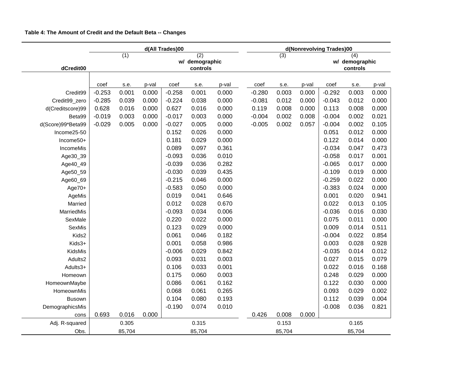|                   | d(All Trades)00                                        |        |       |          |          |       | d(Nonrevolving Trades)00 |                |        |                       |          |        |       |
|-------------------|--------------------------------------------------------|--------|-------|----------|----------|-------|--------------------------|----------------|--------|-----------------------|----------|--------|-------|
|                   | $\overline{(1)}$<br>$\overline{(2)}$<br>w/ demographic |        |       |          |          |       |                          | $\overline{3}$ |        | (4)<br>w/ demographic |          |        |       |
| dCredit00         |                                                        |        |       |          | controls |       |                          |                |        | controls              |          |        |       |
|                   |                                                        |        |       |          |          |       |                          |                |        |                       |          |        |       |
|                   | coef                                                   | s.e.   | p-val | coef     | s.e.     | p-val |                          | coef           | s.e.   | p-val                 | coef     | s.e.   | p-val |
| Credit99          | $-0.253$                                               | 0.001  | 0.000 | $-0.258$ | 0.001    | 0.000 |                          | $-0.280$       | 0.003  | 0.000                 | $-0.292$ | 0.003  | 0.000 |
| Credit99_zero     | $-0.285$                                               | 0.039  | 0.000 | $-0.224$ | 0.038    | 0.000 |                          | $-0.081$       | 0.012  | 0.000                 | $-0.043$ | 0.012  | 0.000 |
| d(Creditscore)99  | 0.628                                                  | 0.016  | 0.000 | 0.627    | 0.016    | 0.000 |                          | 0.119          | 0.008  | 0.000                 | 0.113    | 0.008  | 0.000 |
| Beta99            | $-0.019$                                               | 0.003  | 0.000 | $-0.017$ | 0.003    | 0.000 |                          | $-0.004$       | 0.002  | 0.008                 | $-0.004$ | 0.002  | 0.021 |
| d(Score)99*Beta99 | $-0.029$                                               | 0.005  | 0.000 | $-0.027$ | 0.005    | 0.000 |                          | $-0.005$       | 0.002  | 0.057                 | $-0.004$ | 0.002  | 0.105 |
| Income25-50       |                                                        |        |       | 0.152    | 0.026    | 0.000 |                          |                |        |                       | 0.051    | 0.012  | 0.000 |
| Income50+         |                                                        |        |       | 0.181    | 0.029    | 0.000 |                          |                |        |                       | 0.122    | 0.014  | 0.000 |
| IncomeMis         |                                                        |        |       | 0.089    | 0.097    | 0.361 |                          |                |        |                       | $-0.034$ | 0.047  | 0.473 |
| Age30_39          |                                                        |        |       | $-0.093$ | 0.036    | 0.010 |                          |                |        |                       | $-0.058$ | 0.017  | 0.001 |
| Age40_49          |                                                        |        |       | $-0.039$ | 0.036    | 0.282 |                          |                |        |                       | $-0.065$ | 0.017  | 0.000 |
| Age50_59          |                                                        |        |       | $-0.030$ | 0.039    | 0.435 |                          |                |        |                       | $-0.109$ | 0.019  | 0.000 |
| Age60_69          |                                                        |        |       | $-0.215$ | 0.046    | 0.000 |                          |                |        |                       | $-0.259$ | 0.022  | 0.000 |
| Age70+            |                                                        |        |       | $-0.583$ | 0.050    | 0.000 |                          |                |        |                       | $-0.383$ | 0.024  | 0.000 |
| AgeMis            |                                                        |        |       | 0.019    | 0.041    | 0.646 |                          |                |        |                       | 0.001    | 0.020  | 0.941 |
| Married           |                                                        |        |       | 0.012    | 0.028    | 0.670 |                          |                |        |                       | 0.022    | 0.013  | 0.105 |
| MarriedMis        |                                                        |        |       | $-0.093$ | 0.034    | 0.006 |                          |                |        |                       | $-0.036$ | 0.016  | 0.030 |
| SexMale           |                                                        |        |       | 0.220    | 0.022    | 0.000 |                          |                |        |                       | 0.075    | 0.011  | 0.000 |
| SexMis            |                                                        |        |       | 0.123    | 0.029    | 0.000 |                          |                |        |                       | 0.009    | 0.014  | 0.511 |
| Kids2             |                                                        |        |       | 0.061    | 0.046    | 0.182 |                          |                |        |                       | $-0.004$ | 0.022  | 0.854 |
| Kids3+            |                                                        |        |       | 0.001    | 0.058    | 0.986 |                          |                |        |                       | 0.003    | 0.028  | 0.928 |
| KidsMis           |                                                        |        |       | $-0.006$ | 0.029    | 0.842 |                          |                |        |                       | $-0.035$ | 0.014  | 0.012 |
| Adults2           |                                                        |        |       | 0.093    | 0.031    | 0.003 |                          |                |        |                       | 0.027    | 0.015  | 0.079 |
| Adults3+          |                                                        |        |       | 0.106    | 0.033    | 0.001 |                          |                |        |                       | 0.022    | 0.016  | 0.168 |
| Homeown           |                                                        |        |       | 0.175    | 0.060    | 0.003 |                          |                |        |                       | 0.248    | 0.029  | 0.000 |
| HomeownMaybe      |                                                        |        |       | 0.086    | 0.061    | 0.162 |                          |                |        |                       | 0.122    | 0.030  | 0.000 |
| HomeownMis        |                                                        |        |       | 0.068    | 0.061    | 0.265 |                          |                |        |                       | 0.093    | 0.029  | 0.002 |
| <b>Busown</b>     |                                                        |        |       | 0.104    | 0.080    | 0.193 |                          |                |        |                       | 0.112    | 0.039  | 0.004 |
| DemographicsMis   |                                                        |        |       | $-0.190$ | 0.074    | 0.010 |                          |                |        |                       | $-0.008$ | 0.036  | 0.821 |
| cons              | 0.693                                                  | 0.016  | 0.000 |          |          |       |                          | 0.426          | 0.008  | 0.000                 |          |        |       |
| Adj. R-squared    |                                                        | 0.305  |       |          | 0.315    |       |                          |                | 0.153  |                       |          | 0.165  |       |
| Obs.              |                                                        | 85,704 |       |          | 85,704   |       |                          |                | 85,704 |                       |          | 85,704 |       |

### **Table 4: The Amount of Credit and the Default Beta -- Changes**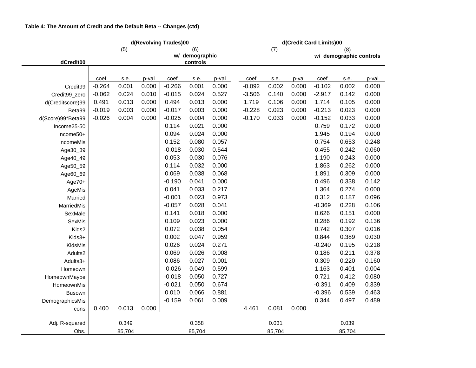|                   | d(Revolving Trades)00 |                                                                    |       |          |        |       | d(Credit Card Limits)00 |        |       |          |                                |       |  |  |
|-------------------|-----------------------|--------------------------------------------------------------------|-------|----------|--------|-------|-------------------------|--------|-------|----------|--------------------------------|-------|--|--|
| dCredit00         |                       | $\overline{(5)}$<br>$\overline{(6)}$<br>w/ demographic<br>controls |       |          |        |       |                         | (7)    |       |          | (8)<br>w/ demographic controls |       |  |  |
|                   |                       |                                                                    |       |          |        |       |                         |        |       |          |                                |       |  |  |
|                   | coef                  | s.e.                                                               | p-val | coef     | s.e.   | p-val | coef                    | s.e.   | p-val | coef     | s.e.                           | p-val |  |  |
| Credit99          | $-0.264$              | 0.001                                                              | 0.000 | $-0.266$ | 0.001  | 0.000 | $-0.092$                | 0.002  | 0.000 | $-0.102$ | 0.002                          | 0.000 |  |  |
| Credit99_zero     | $-0.062$              | 0.024                                                              | 0.010 | $-0.015$ | 0.024  | 0.527 | $-3.506$                | 0.140  | 0.000 | $-2.917$ | 0.142                          | 0.000 |  |  |
| d(Creditscore)99  | 0.491                 | 0.013                                                              | 0.000 | 0.494    | 0.013  | 0.000 | 1.719                   | 0.106  | 0.000 | 1.714    | 0.105                          | 0.000 |  |  |
| Beta99            | $-0.019$              | 0.003                                                              | 0.000 | $-0.017$ | 0.003  | 0.000 | $-0.228$                | 0.023  | 0.000 | $-0.213$ | 0.023                          | 0.000 |  |  |
| d(Score)99*Beta99 | $-0.026$              | 0.004                                                              | 0.000 | $-0.025$ | 0.004  | 0.000 | $-0.170$                | 0.033  | 0.000 | $-0.152$ | 0.033                          | 0.000 |  |  |
| Income25-50       |                       |                                                                    |       | 0.114    | 0.021  | 0.000 |                         |        |       | 0.759    | 0.172                          | 0.000 |  |  |
| Income50+         |                       |                                                                    |       | 0.094    | 0.024  | 0.000 |                         |        |       | 1.945    | 0.194                          | 0.000 |  |  |
| IncomeMis         |                       |                                                                    |       | 0.152    | 0.080  | 0.057 |                         |        |       | 0.754    | 0.653                          | 0.248 |  |  |
| Age30_39          |                       |                                                                    |       | $-0.018$ | 0.030  | 0.544 |                         |        |       | 0.455    | 0.242                          | 0.060 |  |  |
| Age40_49          |                       |                                                                    |       | 0.053    | 0.030  | 0.076 |                         |        |       | 1.190    | 0.243                          | 0.000 |  |  |
| Age50_59          |                       |                                                                    |       | 0.114    | 0.032  | 0.000 |                         |        |       | 1.863    | 0.262                          | 0.000 |  |  |
| Age60_69          |                       |                                                                    |       | 0.069    | 0.038  | 0.068 |                         |        |       | 1.891    | 0.309                          | 0.000 |  |  |
| Age70+            |                       |                                                                    |       | $-0.190$ | 0.041  | 0.000 |                         |        |       | 0.496    | 0.338                          | 0.142 |  |  |
| AgeMis            |                       |                                                                    |       | 0.041    | 0.033  | 0.217 |                         |        |       | 1.364    | 0.274                          | 0.000 |  |  |
| Married           |                       |                                                                    |       | $-0.001$ | 0.023  | 0.973 |                         |        |       | 0.312    | 0.187                          | 0.096 |  |  |
| MarriedMis        |                       |                                                                    |       | $-0.057$ | 0.028  | 0.041 |                         |        |       | $-0.369$ | 0.228                          | 0.106 |  |  |
| SexMale           |                       |                                                                    |       | 0.141    | 0.018  | 0.000 |                         |        |       | 0.626    | 0.151                          | 0.000 |  |  |
| SexMis            |                       |                                                                    |       | 0.109    | 0.023  | 0.000 |                         |        |       | 0.286    | 0.192                          | 0.136 |  |  |
| Kids2             |                       |                                                                    |       | 0.072    | 0.038  | 0.054 |                         |        |       | 0.742    | 0.307                          | 0.016 |  |  |
| Kids3+            |                       |                                                                    |       | 0.002    | 0.047  | 0.959 |                         |        |       | 0.844    | 0.389                          | 0.030 |  |  |
| KidsMis           |                       |                                                                    |       | 0.026    | 0.024  | 0.271 |                         |        |       | $-0.240$ | 0.195                          | 0.218 |  |  |
| Adults2           |                       |                                                                    |       | 0.069    | 0.026  | 0.008 |                         |        |       | 0.186    | 0.211                          | 0.378 |  |  |
| Adults3+          |                       |                                                                    |       | 0.086    | 0.027  | 0.001 |                         |        |       | 0.309    | 0.220                          | 0.160 |  |  |
| Homeown           |                       |                                                                    |       | $-0.026$ | 0.049  | 0.599 |                         |        |       | 1.163    | 0.401                          | 0.004 |  |  |
| HomeownMaybe      |                       |                                                                    |       | $-0.018$ | 0.050  | 0.727 |                         |        |       | 0.721    | 0.412                          | 0.080 |  |  |
| HomeownMis        |                       |                                                                    |       | $-0.021$ | 0.050  | 0.674 |                         |        |       | $-0.391$ | 0.409                          | 0.339 |  |  |
| <b>Busown</b>     |                       |                                                                    |       | 0.010    | 0.066  | 0.881 |                         |        |       | $-0.396$ | 0.539                          | 0.463 |  |  |
| DemographicsMis   |                       |                                                                    |       | $-0.159$ | 0.061  | 0.009 |                         |        |       | 0.344    | 0.497                          | 0.489 |  |  |
| cons              | 0.400                 | 0.013                                                              | 0.000 |          |        |       | 4.461                   | 0.081  | 0.000 |          |                                |       |  |  |
| Adj. R-squared    |                       | 0.349                                                              |       |          | 0.358  |       |                         | 0.031  |       |          | 0.039                          |       |  |  |
| Obs.              |                       | 85,704                                                             |       |          | 85,704 |       |                         | 85,704 |       |          | 85,704                         |       |  |  |